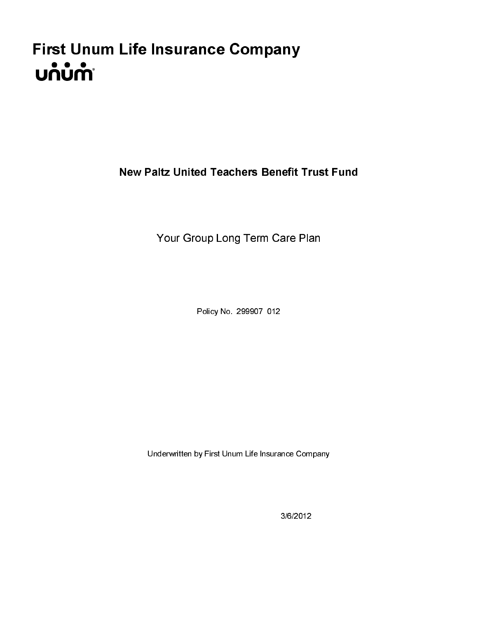# First Unum Life Insurance Company<br>Unum

Nour Group Long Term Care Plan<br>Policy No. 299907 012<br>Underwritten by First Unum Life Insurance Company<br>3/6/2012  $\frac{2}{3}$  $\frac{2}{3}$  $\frac{2}{3}$  $\frac{2}{3}$ 

Policy No. 299907 012

Policy No. 299907 012<br>derwritten by First Unum Life Insurance Compar<br>3/6/2012 r Underwritten by First Unum Life Insurance Company

3/6/2012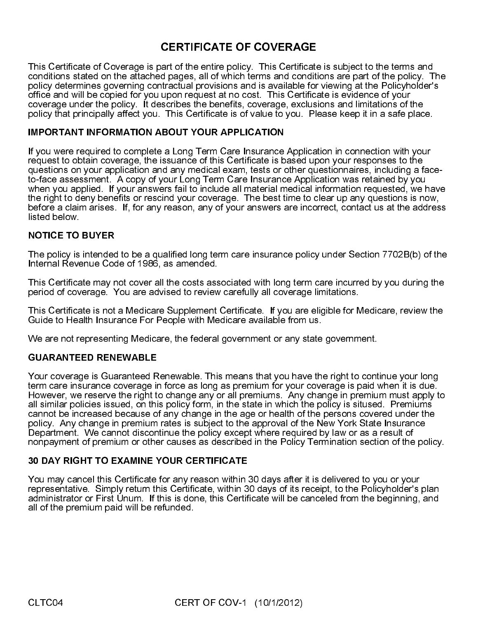# **CERTIFICATE OF COVERAGE**

If you were required to complete a Long Term Care Insurance Application in connection with your request to obtain coverage, the issuance of this Certificate is based upon your responses to the questions on your application and any medical exam, tests or other questionnaires, including a faceto-face assessment. A copy of your Long Term Care Insurance Application was retained by you when you applied. If your answers fail to include all material medical information requested, we have the right to deny benefits or rescind your coverage. The best time to clear up any questions is now, before a claim arises. If, for any reason, any of your answers are incorrect, contact us at the address listed below.

### **NOTICE TO BUYER**

The policy is intended to be a qualified long term care insurance policy under Section 7702B(b) of the Internal Revenue Code of 1986, as amended.

This Certificate may not cover all the costs associated with long term care incurred by you during the period of coverage. You are advised to review carefully all coverage limitations.

This Certificate is not a Medicare Supplement Certificate. If you are eligible for Medicare, review the Guide to Health Insurance For People with Medicare available from us

We are not representing Medicare, the federal government or any state government.

# **GUARANTEED RENEWABLE**

and of the entire policy. This Certificated pages, all of which terms and conditive<br>couples and in wising and is available for upon request at no cost. This Certificates<br>cribes the benefits, coverage, exclusing the bosonic continue a state on the alternation policy of the mean of contributes are farst of the policy of the entire of the entire of the entire policy of the entire policy of the entire policy of the entire policy of the entire of coloristics are specifications and the methods in the attached pages in the Policy density in the policy details of which terms and the policy details of which terms are part of which terms and the policy of the policy of olo of determines governing contractual provisions and is available for viewing at the Policyholder's policyholder's and interest of viewing the policyholder's provisions and interest in the CHI and the Policyholder's the coverage under the policy. This Gertifice and will be considered for each between the considerations of the consideration of the consideration of the constrained and intrinsics of the cost. The cost is evidence of the cost policy that princ pally affect you. This Cortificate is of value to you. Please keep it in a safe p as<br>
MF you were required ATOMATOM ABOUT YOUR APPLICATION<br>
INFrom TAIN THOTHAME TOWER AND TOWER APPLICATION<br>
or the coverag IMPORTANT INFORMATION ABOUT YOUR APPLICATION<br>
If you were required to complete a Long Term Care insurance Application in connection with your<br>
requires to you. The principal certification and any model to you. The complete IMPORTANT INFORMATION ABOUT YOUR APPLICATION<br>If you were required to complete a Long Term Care Insurance<br>requestions obtain coverage, the issuance of this Certificate is be developed<br>questions on your application and any m NOTICE TO BUYER<br>The policy is intendec<br>Internal Revenue Coc<br>This Certificate may r<br>period of coverage. Y<br>This Certificate is not<br>Guide to Health Insur<br>We are not represent<br>GUARANTEED REN<br>Your coverage is Guaterm care insur **GUARANTEED RENEWABLE**<br>
Your coverage is Guaranteed R<br>
term care insurance coverage ir<br>
However, we reserve the right to<br>
all similar policies issued, on thic<br>
cannot be increased because of<br>
policy. Any change in premium<br> Your coverage is Guaranteed Renewable. This means that you have the right to continue your long term care insurance coverage in force as long as premium for your coverage is paid when it is due. However, we reserve the right to change any or all premiums. Any change in premium must apply to all similar policies issued, on this policy form, in the state in which the policy is sitused. Premiums cannot be increased because of any change in the age or health of the persons covered under the policy. Any change in premium rates is subject to the approval of the New York State Insurance Department. We cannot discontinue the policy except where required by law or as a result of nonpayment of premium or other causes as described in the Policy Termination section of the policy.

# **30 DAY RIGHT TO EXAMINE YOUR CERTIFICATE**

30 DAY RIGHT TO EXAMINE YOUR CERTIFICATE<br>
You may cancel this Certificate for any reason within 3<br>
representative. Simply return this Certificate, within 3<br>
administrator or First Unum. If this is done, this Certifi<br>
all o You may cancel this Certificate for any reason within 30 days after it is delivered to you or your representative. Simply return this Certificate, within 30 days of its receipt, to the Policyholder's plan administrator or First Unum. If this is done, this Certificate will be canceled from the beginning, and all of the premium paid will be refunded.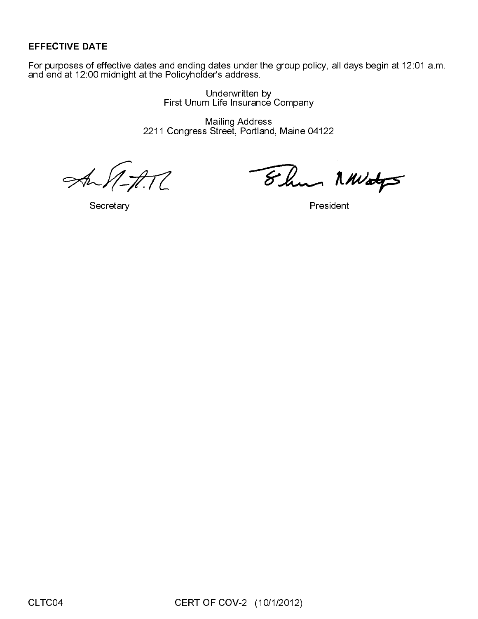EFFECTIVE DATE<br>For purposes of effection<br>and end at 12:00 microscopy<br>Secret For purposes of effective dates and ending dates under the group policy, all days begin at 12:01 a.m. and end at 12:00 midnight at the Policyholder's address.

Underwritten by First Unum Life Insurance Company

Mailing Address 2211 Congress Street, Portland, Maine 04122

 $\overline{C}$ 

Secretary **President** 

Elen MWatys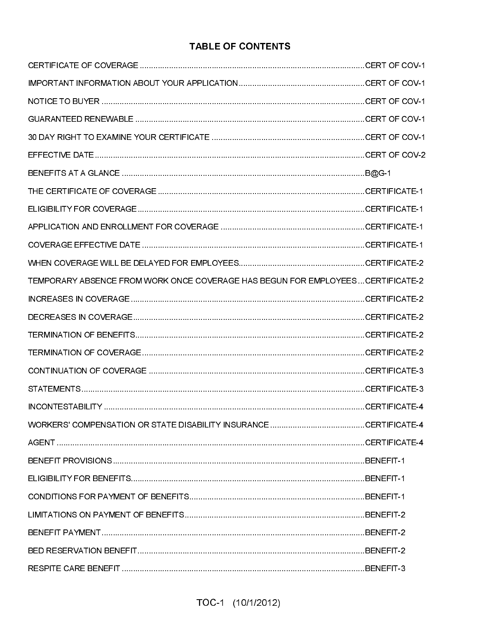# **TABLE OF CONTENTS**

| TEMPORARY ABSENCE FROM WORK ONCE COVERAGE HAS BEGUN FOR EMPLOYEES CERTIFICATE-2 |  |
|---------------------------------------------------------------------------------|--|
|                                                                                 |  |
|                                                                                 |  |
|                                                                                 |  |
|                                                                                 |  |
|                                                                                 |  |
|                                                                                 |  |
|                                                                                 |  |
|                                                                                 |  |
|                                                                                 |  |
|                                                                                 |  |
|                                                                                 |  |
|                                                                                 |  |
|                                                                                 |  |
|                                                                                 |  |
|                                                                                 |  |
|                                                                                 |  |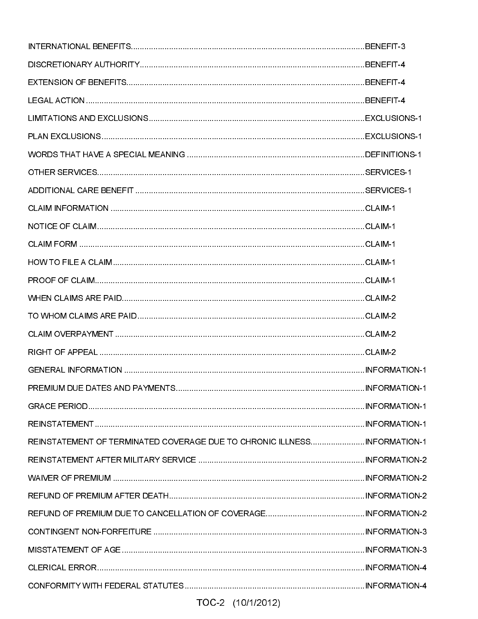| REINSTATEMENT OF TERMINATED COVERAGE DUE TO CHRONIC ILLNESSINFORMATION-1 |  |
|--------------------------------------------------------------------------|--|
|                                                                          |  |
|                                                                          |  |
|                                                                          |  |
|                                                                          |  |
|                                                                          |  |
|                                                                          |  |
|                                                                          |  |
|                                                                          |  |
|                                                                          |  |
|                                                                          |  |
|                                                                          |  |
|                                                                          |  |
|                                                                          |  |
|                                                                          |  |
|                                                                          |  |
|                                                                          |  |
|                                                                          |  |
|                                                                          |  |
|                                                                          |  |
|                                                                          |  |
|                                                                          |  |
|                                                                          |  |
|                                                                          |  |
|                                                                          |  |
|                                                                          |  |
|                                                                          |  |
|                                                                          |  |
|                                                                          |  |
|                                                                          |  |
|                                                                          |  |

# TOC-2 (10/1/2012)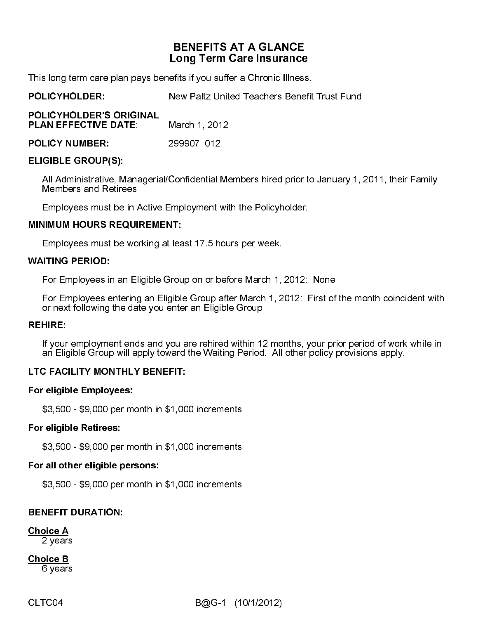# BENEFITS AT A GLANCE<br>Long Term Care Insurance<br>efits if you suffer a Chronic Illness.<br>New Paltz United Teachers Benefi<br>March 1, 2012<br>299907 012<br>Confidential Members hired prior to<br>mployment with the Policyholder.<br>IT:<br>least

This long term care plan pays benefits if you suffer a Chronic Illness.

**POLICYHOLDER:** 

| POLICYHOLDER'S ORIGINAL<br><b>PLAN EFFECTIVE DATE:</b>                                           | March 1, 2012 |  |  |
|--------------------------------------------------------------------------------------------------|---------------|--|--|
| <b>POLICY NUMBER:</b>                                                                            | 299907 012    |  |  |
| <b>ELIGIBLE GROUP(S):</b>                                                                        |               |  |  |
| All Administrative, Managerial/Confidential Me<br><b>Members and Retirees</b>                    |               |  |  |
| Employees must be in Active Employment with                                                      |               |  |  |
| <b>MINIMUM HOURS REQUIREMENT:</b>                                                                |               |  |  |
| Employees must be working at least 17.5 hour                                                     |               |  |  |
| <b>WAITING PERIOD:</b>                                                                           |               |  |  |
| For Employees in an Eligible Group on or bef                                                     |               |  |  |
| For Employees entering an Eligible Group aft<br>or next following the date you enter an Eligible |               |  |  |
| <b>REHIRE:</b>                                                                                   |               |  |  |
| If your employment ends and you are rehired<br>an Eligible Group will apply toward the Waitin    |               |  |  |
| LTC FACILITY MONTHLY BENEFIT:                                                                    |               |  |  |
| <b>For eligible Employees:</b>                                                                   |               |  |  |
| \$3,500 - \$9,000 per month in \$1,000 increme                                                   |               |  |  |
| <b>For eligible Retirees:</b>                                                                    |               |  |  |
| \$3,500 - \$9,000 per month in \$1,000 increme                                                   |               |  |  |
| Ear all athar aligible personal                                                                  |               |  |  |

POLICYHOLDER: New Paltz United Teachers Benefit Trust Fund<br>
PLAN EFFECTIVE DATE: March 1, 2012<br>
PLAN EFFECTIVE DATE: 299907 012<br>
ELIGIBLE GROUP(S):<br>
All Administrative, Managerial/Confidential Members hired prior to Januar PLAN EFFECTIVE DATE: March 1, 2012<br>
POLICY NUMBER: 299907 012<br>
ELIGIBLE GROUP(S):<br>
All Administrative, Managerial/Confidential Me<br>
Members and Retirees<br>
Employees must be in Active Employment wit<br>
MINIMUM HOURS REQUIREMENT POLICY NUMBER: 299907 012<br>
ELIGIBLE GROUP(S):<br>
All Administrative, Managerial/Confidential Members and Retirees<br>
Employees must be in Active Employment v<br>
MINIMUM HOURS REQUIREMENT:<br>
Employees must be working at least 17.5 All Administrative, M<br>
Members and Retire<br>
Employees must be<br>
MINIMUM HOURS REC<br>
Employees must be<br>
WAITING PERIOD:<br>
For Employees in ar<br>
For Employees ente<br>
or next following the<br>
REHIRE:<br>
If your employment  $\epsilon$ <br>
an Elig All Administrative, Managerial/Confidential Members hired prior to January 1, 2011, their Family Members and Retirees

Employees must be in Active Employment with the Policyholder.

Employees must be working at least 17.5 hours per week.

### **WAITING PERIOD:**

For Employees in an Eligible Group on or before March 1, 2012: None

Employees must be working at lea<br>
WAITING PERIOD:<br>
For Employees in an Eligible Grou<br>
For Employees entering an Eligible<br>
or next following the date you ente<br>
REHIRE:<br>
If your employment ends and you<br>
an Eligible Group wi For Employees in<br>
For Employees e<br>
or next following<br>
REHIRE:<br>
If your employme<br>
an Eligible Group<br>
LTC FACILITY MON<br>
For eligible Employ<br>
\$3,500 - \$9,000 p<br>
For eligible Retiree<br>
\$3,500 - \$9,000 p<br>
For all other eligibl<br> For Employees entering an Eligible Group after March 1, 2012: First of the month coincident with or next following the date you enter an Eligible Group

If your employment ends and you are rehired within 12 months, your prior period of work while in an Eligible Group will apply toward the Waiting Period. All other policy provisions apply.

# LTC FACILITY MONTHLY BENEFIT:

### For eligible Employees:

\$3,500 - \$9,000 per month in \$1,000 increments

### For eligible Retirees:

For eligible Employees:<br>
\$3,500 - \$9,000 per month in \$1,00<br>
For eligible Retirees:<br>
\$3,500 - \$9,000 per month in \$1,00<br>
For all other eligible persons:<br>
\$3,500 - \$9,000 per month in \$1,00<br>
BENEFIT DURATION:<br>
Choice A<br>
2 y \$3,500 - \$9,000 per month in \$1,000 increments

### For all other eligible persons:

\$3,500 - \$9,000 per month in \$1,000 increments

# BENEFIT DURATION:

Choice A

2 years

If your<br>an Elig<br>LTC FAC<br>For eligib<br>\$3,500<br>For all ot<br>\$3,500<br>For all ot<br>\$3,500<br>RENEFIT<br>Choice A<br>2 year<br>Choice B<br>6 year Choice B 6 years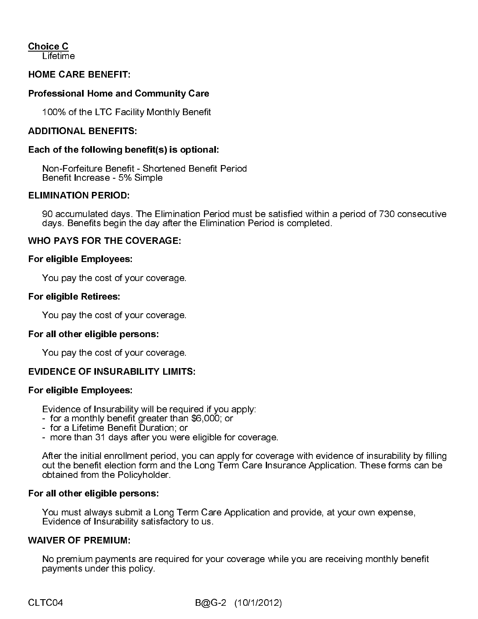Choice C<br>Lifetime

### HOME CARE BENEFIT:

### Professional Home and Community Care

100% of the LTC Facility Monthly Benefit

### ADDITIONAL BENEFITS:

### Each of the following benefit(s) is optional:

Non-Forfeiture Benefit - Shortened Benefit Period Benefit Increase - 5% Simple

### $\overline{a}$ ELIMINATION PERIOD:

 90 accumulated days. The Elimination Period must be satisfied within a period of 730 consecutive days. Benefits begin the day after the Elimination Period is completed.

### WHO PAYS FOR THE COVERAGE:

### For eligible Employees:

You pay the cost of your coverage.

### For eligible Retirees:

You pay the cost of your coverage.

### For all other eligible persons:

You pay the cost of your coverage.

### EVIDENCE OF INSURABILITY LIMITS:

### For eligible Employees:

Evidence of Insurability will be required if you apply:

- for a monthly benefit greater than \$6,000; or
- for a Lifetime Benefit Duration; or
- more than 31 days after you were eligible for coverage.

After the initial enrollment period, you can apply for coverage with evidence of insurability by filling out the benefit election form and the Long Term Care Insurance Application. These forms can be obtained from the Policyholder.

For all other eligible persons: You must always submit a Long Term Care Application and provide, at your own expense, Evidence of Insurability satisfactory to us.

### WAIVER OF PREMIUM:

No premium payments are required for your coverage while you are receiving monthly benefit payments under this policy.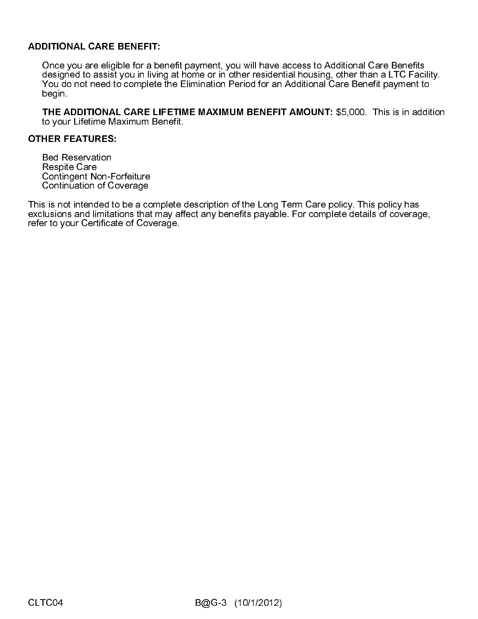ADDITIONAL CARE BENEFIT: Once you are eligible for a benefit payment, you will have access to Additional Care Benefits designed to assist you in living at home or in other residential housing, other than a LTC Facility. You do not need to complete the Elimination Period for an Additional Care Benefit payment to begin.

THE ADDITIONAL CARE LIFETIME MAXIMUM BENEFIT AMOUNT: \$5,000. This is in addition to your Lifetime Maximum Benefit.

### OTHER FEATURES:

Bed Reservation Respite Care Contingent Non-Forfeiture Continuation of Coverage

This is not intended to be a complete description of the Long Term Care policy. This policy has exclusions and limitations that may affect any benefits payable. For complete details of coverage, refer to your Certificate of Coverage.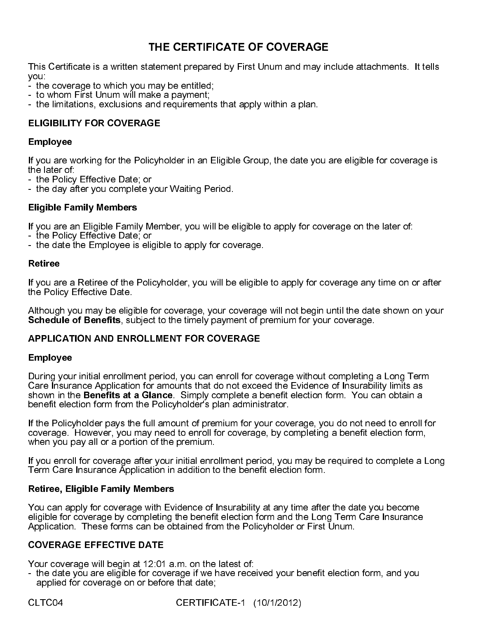This Certificate is a written statement prepared by First Unum and may include attachments. It tells you:

- the coverage to which you may be entitled;
- to whom First Unum will make a payment;
- the limitations, exclusions and requirements that apply within a plan.

# ELIGIBILITY FOR COVERAGE

### Employee

If you are working for the Policyholder in an Eligible Group, the date you are eligible for coverage is the later of:

- the Policy Effective Date; or

- the day after you complete your Waiting Period.

# Eligible Family Members

If you are an Eligible Family Member, you will be eligible to apply for coverage on the later of:

- the Policy Effective Date; or
- the date the Employee is eligible to apply for coverage.

### Retiree

If you are a Retiree of the Policyholder, you will be eligible to apply for coverage any time on or after the Policy Effective Date.

Although you may be eligible for coverage, your coverage will not begin until the date shown on your Schedule of Benefits, subject to the timely payment of premium for your coverage.

# APPLICATION AND ENROLLMENT FOR COVERAGE

### Employee

THE CERTIFICATE OF COVERAGE<br>atement prepared by First Unum and may in<br>may be entitled;<br>ake a payment;<br>and requirements that apply within a plan.<br>GE<br>icyholder in an Eligible Group, the date you a<br>from the property of the st During your initial enrollment period, you can enroll for coverage without completing a Long Term Care Insurance Application for amounts that do not exceed the Evidence of Insurability limits as shown in the Benefits at a Glance. Simply complete a benefit election form. You can obtain a benefit election form from the Policyholder's plan administrator.

If the Policyholder pays the full amount of premium for your coverage, you do not need to enroll for coverage. However, you may need to enroll for coverage, by completing a benefit election form, when you pay all or a portion of the premium.

If you enroll for coverage after your initial enrollment period, you may be required to complete a Long Term Care Insurance Application in addition to the benefit election form.

### Retiree, Eligible Family Members

You can apply for coverage with Evidence of Insurability at any time after the date you become eligible for coverage by completing the benefit election form and the Long Term Care Insurance Application. These forms can be obtained from the Policyholder or First Unum.

# COVERAGE EFFECTIVE DATE

Your coverage will begin at 12:01 a.m. on the latest of:

- the date you are eligible for coverage if we have received your benefit election form, and you applied for coverage on or before that date;

CLTC04 CERTIFICATE-1 (10/1/2012)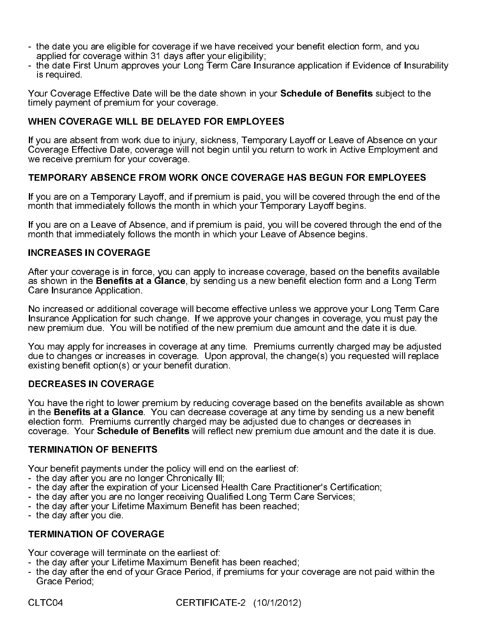- the date you are eligible for coverage if we have received your benefit election form, and you applied for coverage within 31 days after your eligibility;
- the date First Unum approves your Long Term Care Insurance application if Evidence of Insurability is required.

Your Coverage Effective Date will be the date shown in your **Schedule of Benefits** subject to the timely payment of premium for your coverage.

### WHEN COVERAGE WILL BE DELAYED FOR EMPLOYEES

If you are absent from work due to injury, sickness, Temporary Layoff or Leave of Absence on your Coverage Effective Date, coverage will not begin until you return to work in Active Employment and we receive premium for your coverage.

### TEMPORARY ABSENCE FROM WORK ONCE COVERAGE HAS BEGUN FOR EMPLOYEES

If you are on a Temporary Layoff, and if premium is paid, you will be covered through the end of the month that immediately follows the month in which your Temporary Layoff begins.

If you are on a Leave of Absence, and if premium is paid, you will be covered through the end of the month that immediately follows the month in which your Leave of Absence begins.

### INCREASES IN COVERAGE

After your coverage is in force, you can apply to increase coverage, based on the benefits available as shown in the **Benefits at a Glance**, by sending us a new benefit election form and a Long Term Care Insurance Application.

No increased or additional coverage will become effective unless we approve your Long Term Care Insurance Application for such change. If we approve your changes in coverage, you must pay the new premium due. You will be notified of the new premium due amount and the date it is due.

You may apply for increases in coverage at any time. Premiums currently charged may be adjusted due to changes or increases in coverage. Upon approval, the change(s) you requested will replace existing benefit option(s) or your benefit duration.

### DECREASES IN COVERAGE

You have the right to lower premium by reducing coverage based on the benefits available as shown in the Benefits at a Glance. You can decrease coverage at any time by sending us a new benefit election form. Premiums currently charged may be adjusted due to changes or decreases in coverage. Your Schedule of Benefits will reflect new premium due amount and the date it is due.

### TERMINATION OF BENEFITS

Your benefit payments under the policy will end on the earliest of:

- the day after you are no longer Chronically Ill;
- the day after the expiration of your Licensed Health Care Practitioner's Certification;
- the day after you are no longer receiving Qualified Long Term Care Services;
- the day after your Lifetime Maximum Benefit has been reached;
- the day after you die.

### TERMINATION OF COVERAGE

Your coverage will terminate on the earliest of:

- the day after your Lifetime Maximum Benefit has been reached;
- the day after the end of your Grace Period, if premiums for your coverage are not paid within the Grace Period;

CLTC04 CERTIFICATE-2 (10/1/2012)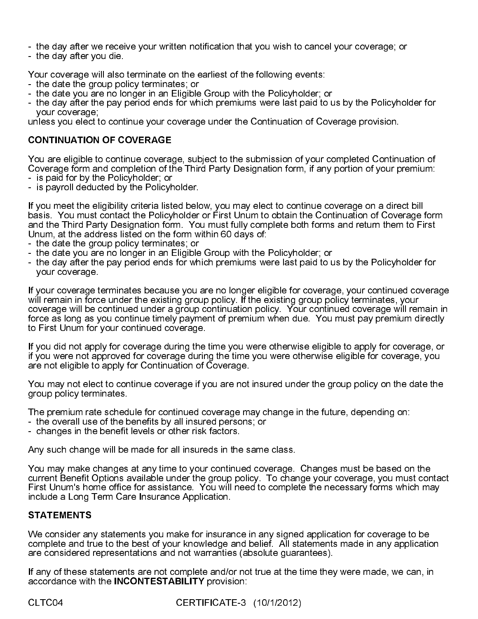- the day after we receive your written notification that you wish to cancel your coverage; or

- the day after you die.

Your coverage will also terminate on the earliest of the following events:

- the date the group policy terminates; or
- the date you are no longer in an Eligible Group with the Policyholder; or
- the day after the pay period ends for which premiums were last paid to us by the Policyholder for your coverage;

unless you elect to continue your coverage under the Continuation of Coverage provision.

### CONTINUATION OF COVERAGE

You are eligible to continue coverage, subject to the submission of your completed Continuation of Coverage form and completion of the Third Party Designation form, if any portion of your premium:

- is paid for by the Policyholder; or
- is payroll deducted by the Policyholder.

If you meet the eligibility criteria listed below, you may elect to continue coverage on a direct bill basis. You must contact the Policyholder or First Unum to obtain the Continuation of Coverage form and the Third Party Designation form. You must fully complete both forms and return them to First Unum, at the address listed on the form within 60 days of:

- the date the group policy terminates; or
- the date you are no longer in an Eligible Group with the Policyholder; or
- the day after the pay period ends for which premiums were last paid to us by the Policyholder for your coverage.

If your coverage terminates because you are no longer eligible for coverage, your continued coverage will remain in force under the existing group policy. If the existing group policy terminates, your coverage will be continued under a group continuation policy. Your continued coverage will remain in force as long as you continue timely payment of premium when due. You must pay premium directly to First Unum for your continued coverage.

If you did not apply for coverage during the time you were otherwise eligible to apply for coverage, or if you were not approved for coverage during the time you were otherwise eligible for coverage, you are not eligible to apply for Continuation of Coverage.

You may not elect to continue coverage if you are not insured under the group policy on the date the group policy terminates.

The premium rate schedule for continued coverage may change in the future, depending on:

- the overall use of the benefits by all insured persons; or
- changes in the benefit levels or other risk factors.

Any such change will be made for all insureds in the same class.

You may make changes at any time to your continued coverage. Changes must be based on the current Benefit Options available under the group policy. To change your coverage, you must contact First Unum's home office for assistance. You will need to complete the necessary forms which may include a Long Term Care Insurance Application.

### STATEMENTS

We consider any statements you make for insurance in any signed application for coverage to be complete and true to the best of your knowledge and belief. All statements made in any application are considered representations and not warranties (absolute guarantees).

If any of these statements are not complete and/or not true at the time they were made, we can, in accordance with the INCONTESTABILITY provision:

CLTC04 CERTIFICATE-3 (10/1/2012)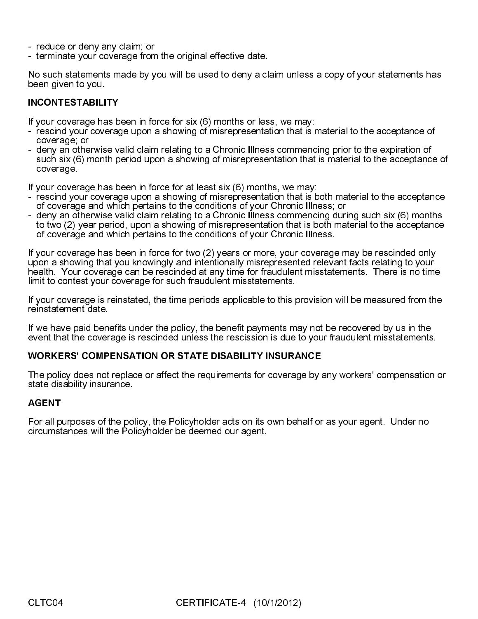- reduce or deny any claim; or
- terminate your coverage from the original effective date.

No such statements made by you will be used to deny a claim unless a copy of your statements has been given to you.

### INCONTESTABILITY

If your coverage has been in force for six (6) months or less, we may:

- rescind your coverage upon a showing of misrepresentation that is material to the acceptance of coverage; or
- deny an otherwise valid claim relating to a Chronic Illness commencing prior to the expiration of such six (6) month period upon a showing of misrepresentation that is material to the acceptance of coverage.

If your coverage has been in force for at least six (6) months, we may:

- rescind your coverage upon a showing of misrepresentation that is both material to the acceptance of coverage and which pertains to the conditions of your Chronic Illness; or
- deny an otherwise valid claim relating to a Chronic Illness commencing during such six (6) months to two (2) year period, upon a showing of misrepresentation that is both material to the acceptance of coverage and which pertains to the conditions of your Chronic Illness.

If your coverage has been in force for two (2) years or more, your coverage may be rescinded only upon a showing that you knowingly and intentionally misrepresented relevant facts relating to your health. Your coverage can be rescinded at any time for fraudulent misstatements. There is no time limit to contest your coverage for such fraudulent misstatements.

If your coverage is reinstated, the time periods applicable to this provision will be measured from the reinstatement date.

If we have paid benefits under the policy, the benefit payments may not be recovered by us in the event that the coverage is rescinded unless the rescission is due to your fraudulent misstatements.

### WORKERS' COMPENSATION OR STATE DISABILITY INSURANCE

The policy does not replace or affect the requirements for coverage by any workers' compensation or state disability insurance.

### AGENT

For all purposes of the policy, the Policyholder acts on its own behalf or as your agent. Under no circumstances will the Policyholder be deemed our agent.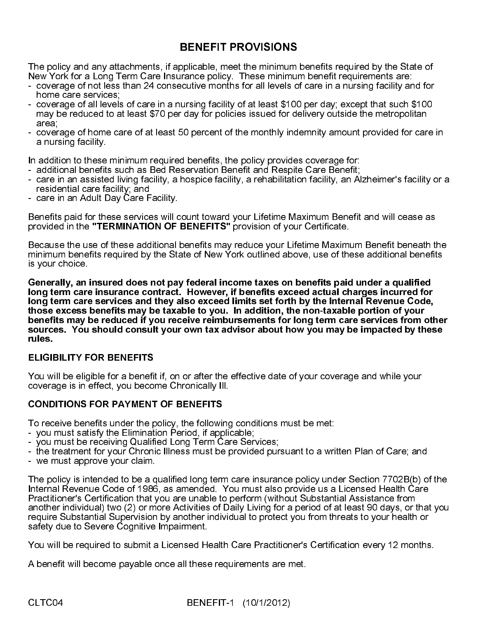The policy and any attachments, if applicable, meet the minimum benefits required by the State of New York for a Long Term Care Insurance policy. These minimum benefit requirements are:

- coverage of not less than 24 consecutive months for all levels of care in a nursing facility and for home care services;
- coverage of all levels of care in a nursing facility of at least \$100 per day; except that such \$100 may be reduced to at least \$70 per day for policies issued for delivery outside the metropolitan area;
- coverage of home care of at least 50 percent of the monthly indemnity amount provided for care in a nursing facility.

In addition to these minimum required benefits, the policy provides coverage for:

- additional benefits such as Bed Reservation Benefit and Respite Care Benefit;
- care in an assisted living facility, a hospice facility, a rehabilitation facility, an Alzheimer's facility or a residential care facility; and
- care in an Adult Day Care Facility.

Benefits paid for these services will count toward your Lifetime Maximum Benefit and will cease as provided in the "TERMINATION OF BENEFITS" provision of your Certificate.

Because the use of these additional benefits may reduce your Lifetime Maximum Benefit beneath the minimum benefits required by the State of New York outlined above, use of these additional benefits is your choice.

**BENEFIT PROVISIONS**<br>pplicable, meet the minimum lirance policy. These minimum<br>icruitive months for all levels of<br>dursing facility of at least \$100<br>clay for policies issued for de<br>50 percent of the monthly inde<br>d benefits, Generally, an insured does not pay federal income taxes on benefits paid under a qualified long term care insurance contract. However, if benefits exceed actual charges incurred for long term care services and they also exceed limits set forth by the Internal Revenue Code, those excess benefits may be taxable to you. In addition, the non-taxable portion of your benefits may be reduced if you receive reimbursements for long term care services from other sources. You should consult your own tax advisor about how you may be impacted by these rules.

# ELIGIBILITY FOR BENEFITS

You will be eligible for a benefit if, on or after the effective date of your coverage and while your coverage is in effect, you become Chronically Ill.

# CONDITIONS FOR PAYMENT OF BENEFITS

To receive benefits under the policy, the following conditions must be met:

- you must satisfy the Elimination Period, if applicable;
- you must be receiving Qualified Long Term Care Services;
- the treatment for your Chronic Illness must be provided pursuant to a written Plan of Care; and
- we must approve your claim.

The policy is intended to be a qualified long term care insurance policy under Section 7702B(b) of the Internal Revenue Code of 1986, as amended. You must also provide us a Licensed Health Care Practitioner's Certification that you are unable to perform (without Substantial Assistance from another individual) two (2) or more Activities of Daily Living for a period of at least 90 days, or that you require Substantial Supervision by another individual to protect you from threats to your health or safety due to Severe Cognitive Impairment.

You will be required to submit a Licensed Health Care Practitioner's Certification every 12 months.

A benefit will become payable once all these requirements are met.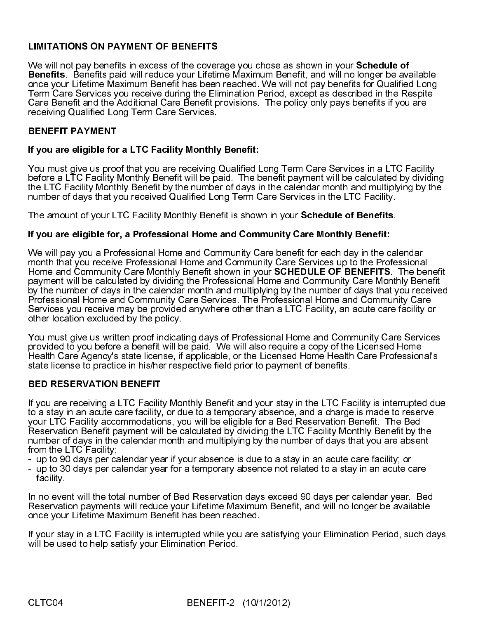# LIMITATIONS ON PAYMENT OF BENEFITS

We will not pay benefits in excess of the coverage you chose as shown in your Schedule of Benefits. Benefits paid will reduce your Lifetime Maximum Benefit, and will no longer be available once your Lifetime Maximum Benefit has been reached. We will not pay benefits for Qualified Long Term Care Services you receive during the Elimination Period, except as described in the Respite Care Benefit and the Additional Care Benefit provisions. The policy only pays benefits if you are receiving Qualified Long Term Care Services.

# BENEFIT PAYMENT

# If you are eligible for a LTC Facility Monthly Benefit:

You must give us proof that you are receiving Qualified Long Term Care Services in a LTC Facility before a LTC Facility Monthly Benefit will be paid. The benefit payment will be calculated by dividing the LTC Facility Monthly Benefit by the number of days in the calendar month and multiplying by the number of days that you received Qualified Long Term Care Services in the LTC Facility.

The amount of your LTC Facility Monthly Benefit is shown in your Schedule of Benefits.

### If you are eligible for, a Professional Home and Community Care Monthly Benefit:

We will pay you a Professional Home and Community Care benefit for each day in the calendar month that you receive Professional Home and Community Care Services up to the Professional Home and Community Care Monthly Benefit shown in your SCHEDULE OF BENEFITS. The benefit payment will be calculated by dividing the Professional Home and Community Care Monthly Benefit by the number of days in the calendar month and multiplying by the number of days that you received Professional Home and Community Care Services. The Professional Home and Community Care Services you receive may be provided anywhere other than a LTC Facility, an acute care facility or other location excluded by the policy.

You must give us written proof indicating days of Professional Home and Community Care Services provided to you before a benefit will be paid. We will also require a copy of the Licensed Home Health Care Agency's state license, if applicable, or the Licensed Home Health Care Professional's state license to practice in his/her respective field prior to payment of benefits.

### BED RESERVATION BENEFIT

If you are receiving a LTC Facility Monthly Benefit and your stay in the LTC Facility is interrupted due to a stay in an acute care facility, or due to a temporary absence, and a charge is made to reserve your LTC Facility accommodations, you will be eligible for a Bed Reservation Benefit. The Bed Reservation Benefit payment will be calculated by dividing the LTC Facility Monthly Benefit by the number of days in the calendar month and multiplying by the number of days that you are absent from the LTC Facility;

- up to 90 days per calendar year if your absence is due to a stay in an acute care facility; or
- up to 30 days per calendar year for a temporary absence not related to a stay in an acute care facility.

In no event will the total number of Bed Reservation days exceed 90 days per calendar year. Bed Reservation payments will reduce your Lifetime Maximum Benefit, and will no longer be available once your Lifetime Maximum Benefit has been reached.

If your stay in a LTC Facility is interrupted while you are satisfying your Elimination Period, such days will be used to help satisfy your Elimination Period.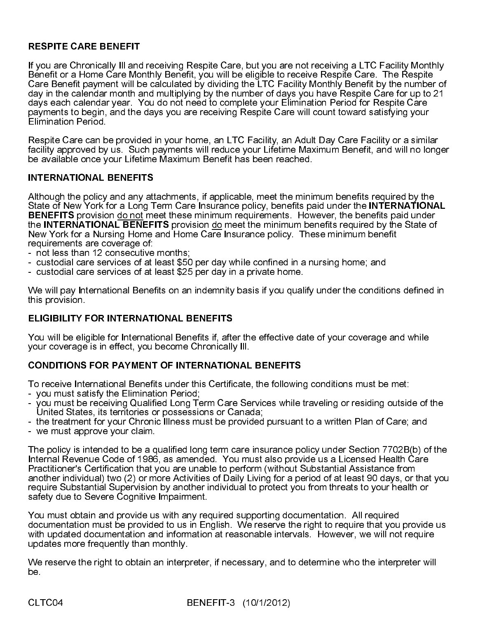# RESPITE CARE BENEFIT

If you are Chronically Ill and receiving Respite Care, but you are not receiving a LTC Facility Monthly Benefit or a Home Care Monthly Benefit, you will be eligible to receive Respite Care. The Respite Care Benefit payment will be calculated by dividing the LTC Facility Monthly Benefit by the number of day in the calendar month and multiplying by the number of days you have Respite Care for up to 21 days each calendar year. You do not need to complete your Elimination Period for Respite Care payments to begin, and the days you are receiving Respite Care will count toward satisfying your Elimination Period.

Respite Care can be provided in your home, an LTC Facility, an Adult Day Care Facility or a similar facility approved by us. Such payments will reduce your Lifetime Maximum Benefit, and will no longer be available once your Lifetime Maximum Benefit has been reached.

# INTERNATIONAL BENEFITS

Although the policy and any attachments, if applicable, meet the minimum benefits required by the State of New York for a Long Term Care Insurance policy, benefits paid under the INTERNATIONAL BENEFITS provision do not meet these minimum requirements. However, the benefits paid under the INTERNATIONAL BENEFITS provision do meet the minimum benefits required by the State of New York for a Nursing Home and Home Care Insurance policy. These minimum benefit requirements are coverage of:

- not less than 12 consecutive months;
- custodial care services of at least \$50 per day while confined in a nursing home; and
- custodial care services of at least \$25 per day in a private home.

We will pay International Benefits on an indemnity basis if you qualify under the conditions defined in this provision.

# ELIGIBILITY FOR INTERNATIONAL BENEFITS

You will be eligible for International Benefits if, after the effective date of your coverage and while your coverage is in effect, you become Chronically Ill.

# CONDITIONS FOR PAYMENT OF INTERNATIONAL BENEFITS

To receive International Benefits under this Certificate, the following conditions must be met:

- you must satisfy the Elimination Period;
- you must be receiving Qualified Long Term Care Services while traveling or residing outside of the United States, its territories or possessions or Canada;
- the treatment for your Chronic Illness must be provided pursuant to a written Plan of Care; and
- we must approve your claim.

The policy is intended to be a qualified long term care insurance policy under Section 7702B(b) of the Internal Revenue Code of 1986, as amended. You must also provide us a Licensed Health Care Practitioner's Certification that you are unable to perform (without Substantial Assistance from another individual) two (2) or more Activities of Daily Living for a period of at least 90 days, or that you require Substantial Supervision by another individual to protect you from threats to your health or safety due to Severe Cognitive Impairment.

You must obtain and provide us with any required supporting documentation. All required documentation must be provided to us in English. We reserve the right to require that you provide us with updated documentation and information at reasonable intervals. However, we will not require updates more frequently than monthly.

We reserve the right to obtain an interpreter, if necessary, and to determine who the interpreter will be.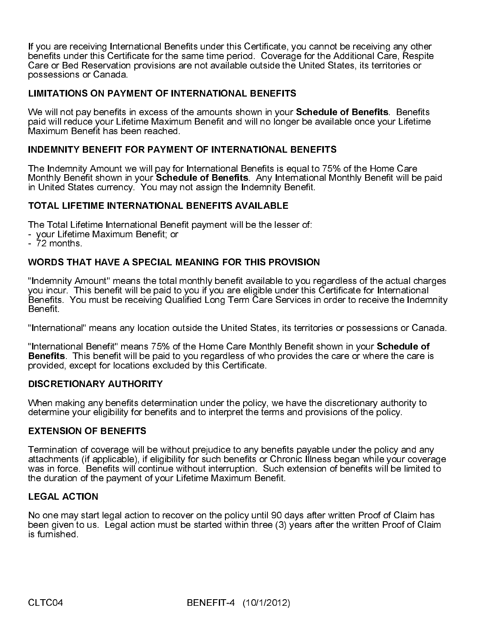If you are receiving International Benefits under this Certificate, you cannot be receiving any other benefits under this Certificate for the same time period. Coverage for the Additional Care, Respite Care or Bed Reservation provisions are not available outside the United States, its territories or possessions or Canada.

### LIMITATIONS ON PAYMENT OF INTERNATIONAL BENEFITS

We will not pay benefits in excess of the amounts shown in your **Schedule of Benefits**. Benefits paid will reduce your Lifetime Maximum Benefit and will no longer be available once your Lifetime Maximum Benefit has been reached.

### INDEMNITY BENEFIT FOR PAYMENT OF INTERNATIONAL BENEFITS

The Indemnity Amount we will pay for International Benefits is equal to 75% of the Home Care Monthly Benefit shown in your Schedule of Benefits. Any International Monthly Benefit will be paid in United States currency. You may not assign the Indemnity Benefit.

### TOTAL LIFETIME INTERNATIONAL BENEFITS AVAILABLE

The Total Lifetime International Benefit payment will be the lesser of:

- your Lifetime Maximum Benefit; or
- 72 months.

### WORDS THAT HAVE A SPECIAL MEANING FOR THIS PROVISION

"Indemnity Amount" means the total monthly benefit available to you regardless of the actual charges you incur. This benefit will be paid to you if you are eligible under this Certificate for International Benefits. You must be receiving Qualified Long Term Care Services in order to receive the Indemnity Benefit.

"International" means any location outside the United States, its territories or possessions or Canada.

"International Benefit" means 75% of the Home Care Monthly Benefit shown in your Schedule of Benefits. This benefit will be paid to you regardless of who provides the care or where the care is provided, except for locations excluded by this Certificate.

### DISCRETIONARY AUTHORITY

When making any benefits determination under the policy, we have the discretionary authority to determine your eligibility for benefits and to interpret the terms and provisions of the policy.

### EXTENSION OF BENEFITS

Termination of coverage will be without prejudice to any benefits payable under the policy and any attachments (if applicable), if eligibility for such benefits or Chronic Illness began while your coverage was in force. Benefits will continue without interruption. Such extension of benefits will be limited to the duration of the payment of your Lifetime Maximum Benefit.

### LEGAL ACTION

No one may start legal action to recover on the policy until 90 days after written Proof of Claim has been given to us. Legal action must be started within three (3) years after the written Proof of Claim is furnished.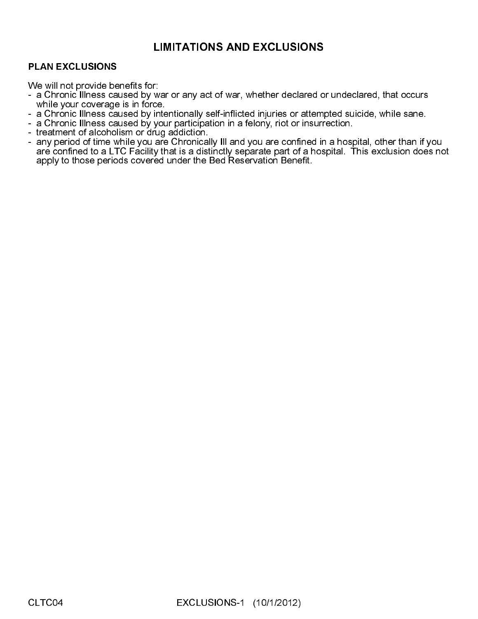# PLAN EXCLUSIONS

We will not provide benefits for:

- a Chronic Illness caused by war or any act of war, whether declared or undeclared, that occurs while your coverage is in force.
- a Chronic Illness caused by intentionally self-inflicted injuries or attempted suicide, while sane.
- a Chronic Illness caused by your participation in a felony, riot or insurrection.
- treatment of alcoholism or drug addiction.
- LIMITATIONS AND EXCLUSIONS<br>
T:<br>
war or any act of war, whether declared of<br>
ce.<br>
yiententionally self-inflicted injuries or attemy<br>
yienteripation in a felony, riot or insurred in<br>
are Chronically III and you are confined - any period of time while you are Chronically III and you are confined in a hospital, other than if you are confined to a LTC Facility that is a distinctly separate part of a hospital. This exclusion does not apply to those periods covered under the Bed Reservation Benefit.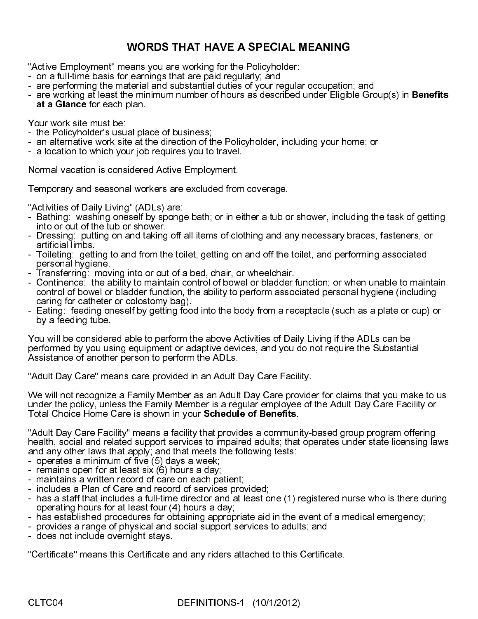"Active Employment" means you are working for the Policyholder:

- on a full-time basis for earnings that are paid regularly; and
- are performing the material and substantial duties of your regular occupation; and
- are working at least the minimum number of hours as described under Eligible Group(s) in **Benefits** at a Glance for each plan.

Your work site must be:

- the Policyholder's usual place of business;
- an alternative work site at the direction of the Policyholder, including your home; or
- a location to which your job requires you to travel.

Normal vacation is considered Active Employment.

Temporary and seasonal workers are excluded from coverage.

"Activities of Daily Living" (ADLs) are:

- Bathing: washing oneself by sponge bath; or in either a tub or shower, including the task of getting into or out of the tub or shower.
- Dressing: putting on and taking off all items of clothing and any necessary braces, fasteners, or artificial limbs.
- Toileting: getting to and from the toilet, getting on and off the toilet, and performing associated personal hygiene.
- Transferring: moving into or out of a bed, chair, or wheelchair.
- Continence: the ability to maintain control of bowel or bladder function; or when unable to maintain control of bowel or bladder function, the ability to perform associated personal hygiene (including caring for catheter or colostomy bag).
- Eating: feeding oneself by getting food into the body from a receptacle (such as a plate or cup) or by a feeding tube.

WORDS THAT HAVE A SPECIAL MEANING<br>aans you are working for the Policyholder:<br>earnings that are paid regularly; and<br>earnings that are paid regularly; and<br>eleminium number of hours as described under Eligib<br>blan.<br>al place of You will be considered able to perform the above Activities of Daily Living if the ADLs can be performed by you using equipment or adaptive devices, and you do not require the Substantial Assistance of another person to perform the ADLs.

"Adult Day Care" means care provided in an Adult Day Care Facility.

We will not recognize a Family Member as an Adult Day Care provider for claims that you make to us under the policy, unless the Family Member is a regular employee of the Adult Day Care Facility or Total Choice Home Care is shown in your Schedule of Benefits.

"Adult Day Care Facility" means a facility that provides a community-based group program offering health, social and related support services to impaired adults; that operates under state licensing laws and any other laws that apply; and that meets the following tests:

- operates a minimum of five (5) days a week;
- remains open for at least six (6) hours a day;
- maintains a written record of care on each patient;
- includes a Plan of Care and record of services provided;
- has a staff that includes a full-time director and at least one (1) registered nurse who is there during operating hours for at least four (4) hours a day;
- has established procedures for obtaining appropriate aid in the event of a medical emergency;
- provides a range of physical and social support services to adults; and
- does not include overnight stays.

"Certificate" means this Certificate and any riders attached to this Certificate.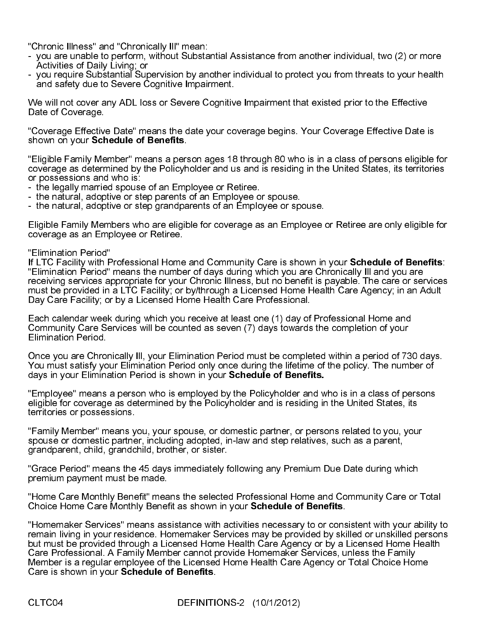"Chronic Illness" and "Chronically Ill" mean:

- you are unable to perform, without Substantial Assistance from another individual, two (2) or more Activities of Daily Living; or
- you require Substantial Supervision by another individual to protect you from threats to your health and safety due to Severe Cognitive Impairment.

We will not cover any ADL loss or Severe Cognitive Impairment that existed prior to the Effective Date of Coverage.

"Coverage Effective Date" means the date your coverage begins. Your Coverage Effective Date is shown on your Schedule of Benefits.

"Eligible Family Member" means a person ages 18 through 80 who is in a class of persons eligible for coverage as determined by the Policyholder and us and is residing in the United States, its territories or possessions and who is:

- the legally married spouse of an Employee or Retiree.
- the natural, adoptive or step parents of an Employee or spouse.
- the natural, adoptive or step grandparents of an Employee or spouse.

Eligible Family Members who are eligible for coverage as an Employee or Retiree are only eligible for coverage as an Employee or Retiree.

### "Elimination Period"

If LTC Facility with Professional Home and Community Care is shown in your Schedule of Benefits: "Elimination Period" means the number of days during which you are Chronically Ill and you are receiving services appropriate for your Chronic Illness, but no benefit is payable. The care or services must be provided in a LTC Facility; or by/through a Licensed Home Health Care Agency; in an Adult Day Care Facility; or by a Licensed Home Health Care Professional.

Each calendar week during which you receive at least one (1) day of Professional Home and Community Care Services will be counted as seven (7) days towards the completion of your Elimination Period.

Once you are Chronically Ill, your Elimination Period must be completed within a period of 730 days. You must satisfy your Elimination Period only once during the lifetime of the policy. The number of days in your Elimination Period is shown in your Schedule of Benefits.

"Employee" means a person who is employed by the Policyholder and who is in a class of persons eligible for coverage as determined by the Policyholder and is residing in the United States, its territories or possessions.

"Family Member" means you, your spouse, or domestic partner, or persons related to you, your spouse or domestic partner, including adopted, in-law and step relatives, such as a parent, grandparent, child, grandchild, brother, or sister.

"Grace Period" means the 45 days immediately following any Premium Due Date during which premium payment must be made.

"Home Care Monthly Benefit" means the selected Professional Home and Community Care or Total Choice Home Care Monthly Benefit as shown in your Schedule of Benefits.

"Homemaker Services" means assistance with activities necessary to or consistent with your ability to remain living in your residence. Homemaker Services may be provided by skilled or unskilled persons but must be provided through a Licensed Home Health Care Agency or by a Licensed Home Health Care Professional. A Family Member cannot provide Homemaker Services, unless the Family Member is a regular employee of the Licensed Home Health Care Agency or Total Choice Home Care is shown in your Schedule of Benefits.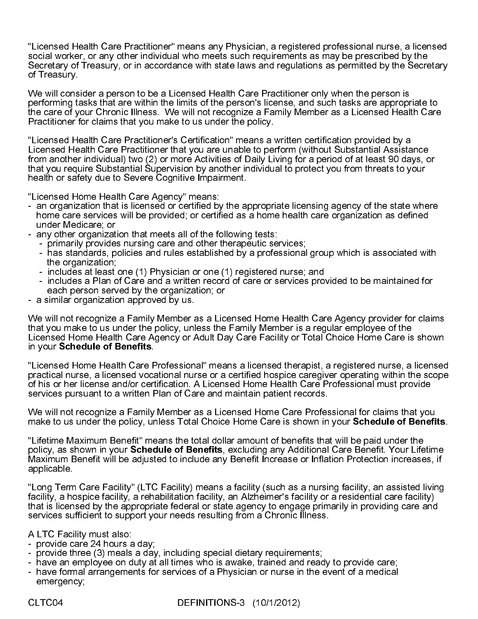"Licensed Health Care Practitioner" means any Physician, a registered professional nurse, a licensed social worker, or any other individual who meets such requirements as may be prescribed by the Secretary of Treasury, or in accordance with state laws and regulations as permitted by the Secretary of Treasury.

We will consider a person to be a Licensed Health Care Practitioner only when the person is performing tasks that are within the limits of the person's license, and such tasks are appropriate to the care of your Chronic Illness. We will not recognize a Family Member as a Licensed Health Care Practitioner for claims that you make to us under the policy.

"Licensed Health Care Practitioner's Certification" means a written certification provided by a Licensed Health Care Practitioner that you are unable to perform (without Substantial Assistance from another individual) two (2) or more Activities of Daily Living for a period of at least 90 days, or that you require Substantial Supervision by another individual to protect you from threats to your health or safety due to Severe Cognitive Impairment.

"Licensed Home Health Care Agency" means:

- an organization that is licensed or certified by the appropriate licensing agency of the state where home care services will be provided; or certified as a home health care organization as defined under Medicare; or
- any other organization that meets all of the following tests:
	- primarily provides nursing care and other therapeutic services;
	- has standards, policies and rules established by a professional group which is associated with the organization;
	- includes at least one (1) Physician or one (1) registered nurse; and
	- includes a Plan of Care and a written record of care or services provided to be maintained for each person served by the organization; or
- a similar organization approved by us.

We will not recognize a Family Member as a Licensed Home Health Care Agency provider for claims that you make to us under the policy, unless the Family Member is a regular employee of the Licensed Home Health Care Agency or Adult Day Care Facility or Total Choice Home Care is shown in your Schedule of Benefits.

"Licensed Home Health Care Professional" means a licensed therapist, a registered nurse, a licensed practical nurse, a licensed vocational nurse or a certified hospice caregiver operating within the scope of his or her license and/or certification. A Licensed Home Health Care Professional must provide services pursuant to a written Plan of Care and maintain patient records.

We will not recognize a Family Member as a Licensed Home Care Professional for claims that you make to us under the policy, unless Total Choice Home Care is shown in your Schedule of Benefits.

"Lifetime Maximum Benefit" means the total dollar amount of benefits that will be paid under the policy, as shown in your Schedule of Benefits, excluding any Additional Care Benefit. Your Lifetime Maximum Benefit will be adjusted to include any Benefit Increase or Inflation Protection increases, if applicable.

"Long Term Care Facility" (LTC Facility) means a facility (such as a nursing facility, an assisted living facility, a hospice facility, a rehabilitation facility, an Alzheimer's facility or a residential care facility) that is licensed by the appropriate federal or state agency to engage primarily in providing care and services sufficient to support your needs resulting from a Chronic Illness.

A LTC Facility must also:

- provide care 24 hours a day;
- provide three (3) meals a day, including special dietary requirements;
- have an employee on duty at all times who is awake, trained and ready to provide care;
- have formal arrangements for services of a Physician or nurse in the event of a medical emergency;

CLTC04 DEFINITIONS-3 (10/1/2012)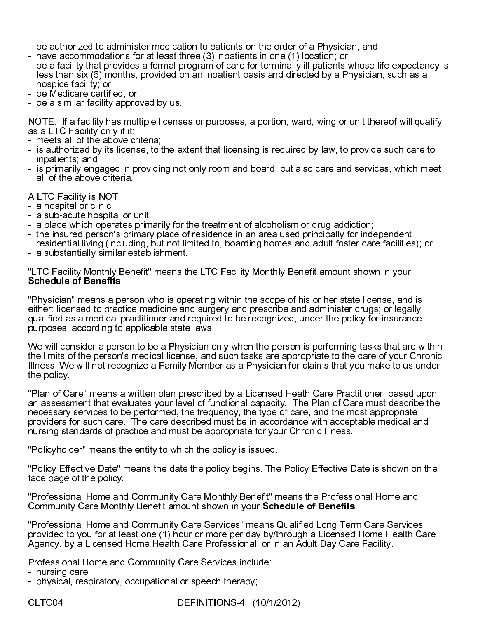- be authorized to administer medication to patients on the order of a Physician; and
- have accommodations for at least three (3) inpatients in one (1) location; or
- be a facility that provides a formal program of care for terminally ill patients whose life expectancy is less than six (6) months, provided on an inpatient basis and directed by a Physician, such as a hospice facility; or
- be Medicare certified; or
- be a similar facility approved by us.

NOTE: If a facility has multiple licenses or purposes, a portion, ward, wing or unit thereof will qualify as a LTC Facility only if it:

- meets all of the above criteria;
- is authorized by its license, to the extent that licensing is required by law, to provide such care to inpatients; and
- is primarily engaged in providing not only room and board, but also care and services, which meet all of the above criteria.

A LTC Facility is NOT:

- a hospital or clinic;
- a sub-acute hospital or unit;
- a place which operates primarily for the treatment of alcoholism or drug addiction;
- the insured person's primary place of residence in an area used principally for independent residential living (including, but not limited to, boarding homes and adult foster care facilities); or
- a substantially similar establishment.

"LTC Facility Monthly Benefit" means the LTC Facility Monthly Benefit amount shown in your Schedule of Benefits.

"Physician" means a person who is operating within the scope of his or her state license, and is either: licensed to practice medicine and surgery and prescribe and administer drugs; or legally qualified as a medical practitioner and required to be recognized, under the policy for insurance purposes, according to applicable state laws.

We will consider a person to be a Physician only when the person is performing tasks that are within the limits of the person's medical license, and such tasks are appropriate to the care of your Chronic Illness. We will not recognize a Family Member as a Physician for claims that you make to us under the policy.

"Plan of Care" means a written plan prescribed by a Licensed Heath Care Practitioner, based upon an assessment that evaluates your level of functional capacity. The Plan of Care must describe the necessary services to be performed, the frequency, the type of care, and the most appropriate providers for such care. The care described must be in accordance with acceptable medical and nursing standards of practice and must be appropriate for your Chronic Illness.

"Policyholder" means the entity to which the policy is issued.

"Policy Effective Date" means the date the policy begins. The Policy Effective Date is shown on the face page of the policy.

"Professional Home and Community Care Monthly Benefit" means the Professional Home and Community Care Monthly Benefit amount shown in your Schedule of Benefits.

"Professional Home and Community Care Services" means Qualified Long Term Care Services provided to you for at least one (1) hour or more per day by/through a Licensed Home Health Care Agency, by a Licensed Home Health Care Professional, or in an Adult Day Care Facility.

Professional Home and Community Care Services include:

- nursing care;
- physical, respiratory, occupational or speech therapy;

CLTC04 DEFINITIONS-4 (10/1/2012)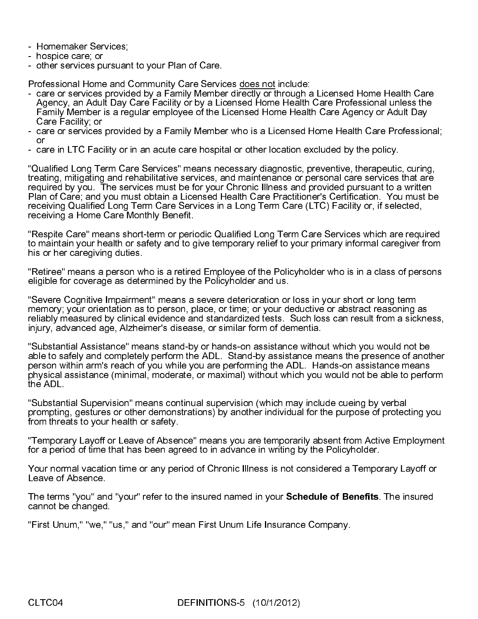- Homemaker Services;
- hospice care; or
- other services pursuant to your Plan of Care.

Professional Home and Community Care Services does not include:

- care or services provided by a Family Member directly or through a Licensed Home Health Care Agency, an Adult Day Care Facility or by a Licensed Home Health Care Professional unless the Family Member is a regular employee of the Licensed Home Health Care Agency or Adult Day Care Facility; or
- care or services provided by a Family Member who is a Licensed Home Health Care Professional; or
- care in LTC Facility or in an acute care hospital or other location excluded by the policy.

"Qualified Long Term Care Services" means necessary diagnostic, preventive, therapeutic, curing, treating, mitigating and rehabilitative services, and maintenance or personal care services that are required by you. The services must be for your Chronic Illness and provided pursuant to a written Plan of Care; and you must obtain a Licensed Health Care Practitioner's Certification. You must be receiving Qualified Long Term Care Services in a Long Term Care (LTC) Facility or, if selected, receiving a Home Care Monthly Benefit.

"Respite Care" means short-term or periodic Qualified Long Term Care Services which are required to maintain your health or safety and to give temporary relief to your primary informal caregiver from his or her caregiving duties.

"Retiree" means a person who is a retired Employee of the Policyholder who is in a class of persons eligible for coverage as determined by the Policyholder and us.

"Severe Cognitive Impairment" means a severe deterioration or loss in your short or long term memory; your orientation as to person, place, or time; or your deductive or abstract reasoning as reliably measured by clinical evidence and standardized tests. Such loss can result from a sickness, injury, advanced age, Alzheimer's disease, or similar form of dementia.

"Substantial Assistance" means stand-by or hands-on assistance without which you would not be able to safely and completely perform the ADL. Stand-by assistance means the presence of another person within arm's reach of you while you are performing the ADL. Hands-on assistance means physical assistance (minimal, moderate, or maximal) without which you would not be able to perform the ADL.

"Substantial Supervision" means continual supervision (which may include cueing by verbal prompting, gestures or other demonstrations) by another individual for the purpose of protecting you from threats to your health or safety.

"Temporary Layoff or Leave of Absence" means you are temporarily absent from Active Employment for a period of time that has been agreed to in advance in writing by the Policyholder.

Your normal vacation time or any period of Chronic Illness is not considered a Temporary Layoff or Leave of Absence.

The terms "you" and "your" refer to the insured named in your Schedule of Benefits. The insured cannot be changed.

"First Unum," "we," "us," and "our" mean First Unum Life Insurance Company.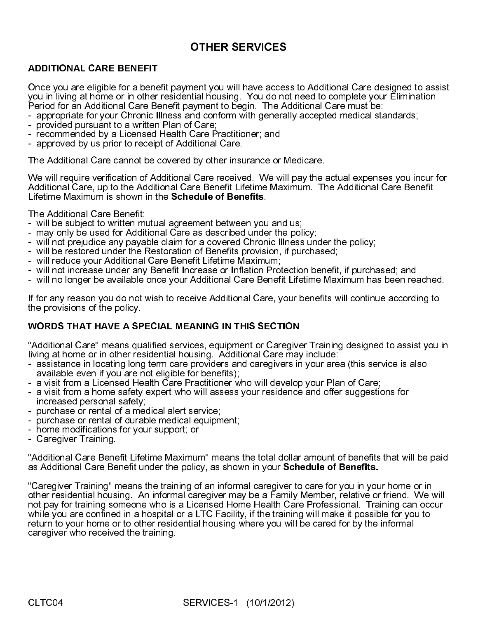# **OTHER SERVICES**

Once you are eligible for a benefit payment you will have access to Additional Care designed to assist you in living at home or in other residential housing. You do not need to complete your Elimination Period for an Additional Care Benefit payment to begin. The Additional Care must be:

- appropriate for your Chronic Illness and conform with generally accepted medical standards;
- provided pursuant to a written Plan of Care;
- recommended by a Licensed Health Care Practitioner; and
- approved by us prior to receipt of Additional Care.

The Additional Care cannot be covered by other insurance or Medicare.

We will require verification of Additional Care received. We will pay the actual expenses you incur for Additional Care, up to the Additional Care Benefit Lifetime Maximum. The Additional Care Benefit<br>Lifetime Maximum is shown in the **Schedule of Benefits** 

The Additional Care Benefit:

- will be subject to written mutual agreement between you and us;
- may only be used for Additional Care as described under the policy;
- will not prejudice any payable claim for a covered Chronic Illness under the policy;
- will be restored under the Restoration of Benefits provision, if purchased;
- will reduce your Additional Care Benefit Lifetime Maximum;
- will not increase under any Benefit Increase or Inflation Protection benefit, if purchased; and
- will no longer be available once your Additional Care Benefit Lifetime Maximum has been reached.

If for any reason you do not wish to receive Additional Care, your benefits will continue according to the provisions of the policy.

# **WORDS THAT HAVE A SPECIAL MEANING IN THIS SECTION**

"Additional Care" means qualified services, equipment or Caregiver Training designed to assist you in living at home or in other residential housing. Additional Care may include:

- assistance in locating long term care providers and caregivers in your area (this service is also available even if you are not eligible for benefits);
- a visit from a Licensed Health Care Practitioner who will develop your Plan of Care;
- a visit from a home safety expert who will assess your residence and offer suggestions for increased personal safety;
- purchase or rental of a medical alert service;
- purchase or rental of durable medical equipment;
- home modifications for your support; or
- Caregiver Training.

"Additional Care Benefit Lifetime Maximum" means the total dollar amount of benefits that will be paid

ADDITIONAL CARE BENEFIT<br>
Once you in living at home or in other residential housing. You do no<br>
Orce you in living at home or in other residential pousing. You do no<br>
Period for an Additional Care Benefit payment to begin. Lifetime Maximum is shown in the Schedule of Benefits.<br>The Additional Care Benefit<br>- will be subject to written mutual agreement between you<br>- may only be used for Additional Care as described unde<br>- will not prejudice any WORDS THAT HAVE A SPECIAL MEANING IN THIS SECTION<br>
"Additional Care" means qualified services, equipment or Caregive<br>
ilving at home or in other residential housing. Additional Care may<br>
- assistance in locating long term as Additional Care Benefit under the policy, as shown in your **Schedule of Benefits.**<br>
"Caregiver Training" means the training of an informal caregiver to care for you in you<br>
other residential housing. An informal caregiv "Caregiver Training" means the training of an informal caregiver to care for you in your home or in other residential housing. An informal caregiver may be a Family Member, relative or friend. We will not pay for training someone who is a Licensed Home Health Care Professional. Training can occur while you are confined in a hospital or a LTC Facility, if the training will make it possible for you to return to your home or to other residential housing where you will be cared for by the informal caregiver who received the training.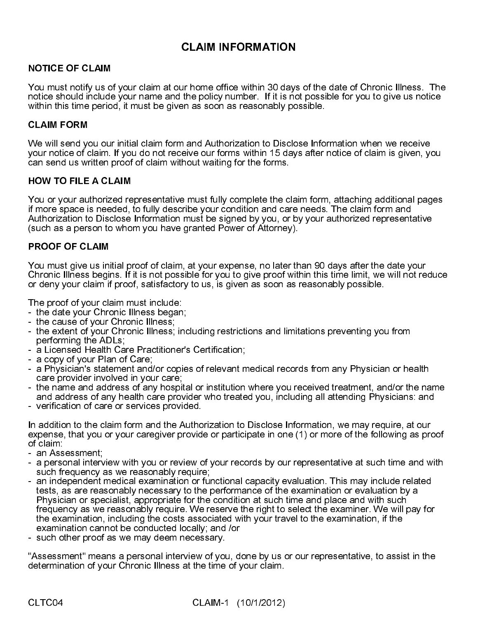# **CLAIM INFORMATION**

You must notify us of your claim at our home office within 30 days of the date of Chronic Illness. The notice should include your name and the policy number. If it is not possible for you to give us notice within this time period, it must be given as soon as reasonably possible.

### **CLAIM FORM**

We will send you our initial claim form and Authorization to Disclose Information when we receive your notice of claim. If you do not receive our forms within 15 days after notice of claim is given, you can send us written proof of claim without waiting for the forms.

### **HOW TO FILE A CLAIM**

CLAIM FORM<br>We will send your notice of comments of the send using<br>HOW TO FILE<br>You or your auff more space is<br>Authorization to<br>(such as a pers<br>PROOF OF CL<br>You must give<br>Chronic Illness<br>Of PROOF OF CL<br>The proof of your cl<br>Th You or your authorized representative must fully complete the claim form, attaching additional pages if more space is needed, to fully describe your condition and care needs. The claim form and Authorization to Disclose Information must be signed by you, or by your authorized representative (such as a person to whom you have granted Power of Attorney).

### **PROOF OF CLAIM**

You must give us initial proof of claim, at your expense, no later than 90 days after the date your Chronic Illness begins. If it is not possible for you to give proof within this time limit, we will not reduce or deny your claim if proof, satisfactory to us, is given as soon as reasonably possible.

The proof of your claim must include:

- the date your Chronic Illness began;
- the cause of your Chronic Illness;
- the extent of your Chronic Illness; including restrictions and limitations preventing you from performing the ADLs;
- a Licensed Health Care Practitioner's Certification;
- a copy of your Plan of Care;
- a Physician's statement and/or copies of relevant medical records from any Physician or health care provider involved in your care;
- the name and address of any hospital or institution where you received treatment, and/or the name and address of any health care provider who treated you, including all attending Physicians: and
- verification of care or services provided.

In addition to the claim form and the Authorization to Disclose Information, we may require, at our expense, that you or your caregiver provide or participate in one (1) or more of the following as proof of claim:

- an Assessment;
- a personal interview with you or review of your records by our representative at such time and with such frequency as we reasonably require;
- NOTICE OF CLAIM<br>
Your must notify us sof your claim at our home office within 30 day<br>
Your must notify us sof your claim at our home office within 30 day<br>
within this time period, it must be given as soon as reasonably po<br> HOW TO FILE A CLAIM<br>
You or your authorized re<br>
if more space is needed,<br>
Authorization to Disclose<br>
(such as a person to who<br>
PROOF OF CLAIM<br>
You must give us initial pichronic Illness begins. If<br>
or deny your claim if pr **PROOF OF CLAIM**<br>
You must give us ini<br>
Chronic Illness begin<br>
or deny your claim if<br>
The proof of your claim if<br>
The proof of your claim if<br>
The cause of your<br>
- the cause of your<br>
- the extent of your<br>
- a Licensed Healt - an independent medical examination or functional capacity evaluation. This may include related tests, as are reasonably necessary to the performance of the examination or evaluation by a Physician or specialist, appropriate for the condition at such time and place and with such frequency as we reasonably require. We reserve the right to select the examiner. We will pay for the examination, including the costs associated with your travel to the examination, if the examination cannot be conducted locally; and /or
- such other proof as we may deem necessary.

"Assessment" means a personal interview of you, done by us or our representative, to assist in the determination of your Chronic Illness at the time of your claim.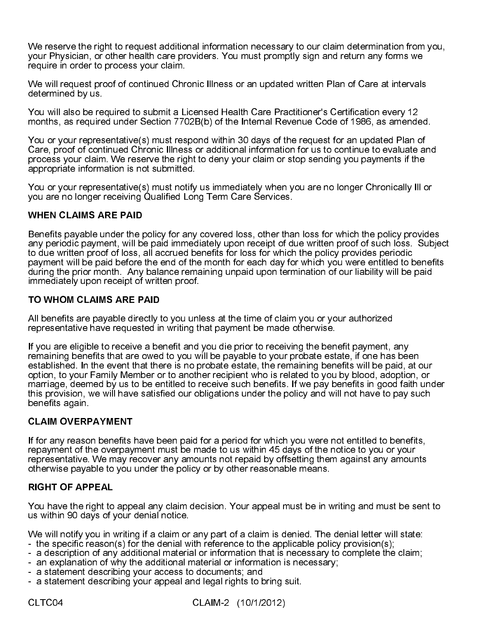We reserve the right to request additional information necessary to our claim determination from you, your Physician, or other health care providers. You must promptly sign and return any forms we require in order to process your claim.

We will request proof of continued Chronic Illness or an updated written Plan of Care at intervals determined by us.

You will also be required to submit a Licensed Health Care Practitioner's Certification every 12 months, as required under Section 7702B(b) of the Internal Revenue Code of 1986, as amended.

You or your representative(s) must respond within 30 days of the request for an updated Plan of Care, proof of continued Chronic Illness or additional information for us to continue to evaluate and process your claim. We reserve the right to deny your claim or stop sending you payments if the appropriate information is not submitted.

You or your representative(s) must notify us immediately when you are no longer Chronically Ill or you are no longer receiving Qualified Long Term Care Services.

Benefits payable under the policy for any covered loss, other than loss for which the policy provides any periodic payment, will be paid immediately upon receipt of due written proof of such loss. Subject to due written proof of loss, all accrued benefits for loss for which the policy provides periodic payment will be paid before the end of the month for each day for which you were entitled to benefits during the prior month. Any balance remaining unpaid upon termination of our liability will be paid immediately upon receipt of written proof.

All benefits are payable directly to you unless at the time of claim you or your authorized representative have requested in writing that payment be made otherwise.

WHEN CLAIMS ARE PAID<br>Benefits payable under the pany periodic payment, will be<br>to due written proof of loss, is payment will be paid before<br>during the prior month. Any<br>immediately upon receipt of<br>TO WHOM CLAIMS ARE P.<br>All TO WHOM CLAIMS ARE PAID<br>All benefits are payable directly t<br>representative have requested ir<br>If you are eligible to receive a be<br>remaining benefits that are owecestablished. In the event that the<br>option, to your Family Mem If you are eligible to receive a benefit and you die prior to receiving the benefit payment, any remaining benefits that are owed to you will be payable to your probate estate, if one has been established. In the event that there is no probate estate, the remaining benefits will be paid, at our option, to your Family Member or to another recipient who is related to you by blood, adoption, or marriage, deemed by us to be entitled to receive such benefits. If we pay benefits in good faith under this provision, we will have satisfied our obligations under the policy and will not have to pay such benefits again.

**CLAIM OVERPAYMENT**<br>If for any reason benefits I<br>repayment of the overpay<br>representative. We may re<br>otherwise payable to you<br>**RIGHT OF APPEAL**<br>You have the right to appe<br>us within 90 days of your (<br>We will notify you in wr If for any reason benefits have been paid for a period for which you were not entitled to benefits, repayment of the overpayment must be made to us within 45 days of the notice to you or your representative. We may recover any amounts not repaid by offsetting them against any amounts otherwise payable to you under the policy or by other reasonable means.

RIGHT OF APPEAL<br>You have the right to<br>us within 90 days of y<br>We will notify you in v<br>- the specific reason<br>- a description of any<br>- an explanation of w<br>- a statement descrik<br>- a statement descrik<br>CLTC04 You have the right to appeal any claim decision. Your appeal must be in writing and must be sent to us within 90 days of your denial notice.

We will notify you in writing if a claim or any part of a claim is denied. The denial letter will state:

- the specific reason(s) for the denial with reference to the applicable policy provision(s);
- a description of any additional material or information that is necessary to complete the claim;
- an explanation of why the additional material or information is necessary;
- a statement describing your access to documents; and
- a statement describing your appeal and legal rights to bring suit.

CLTC04 CLAIM-2 (10/1/2012)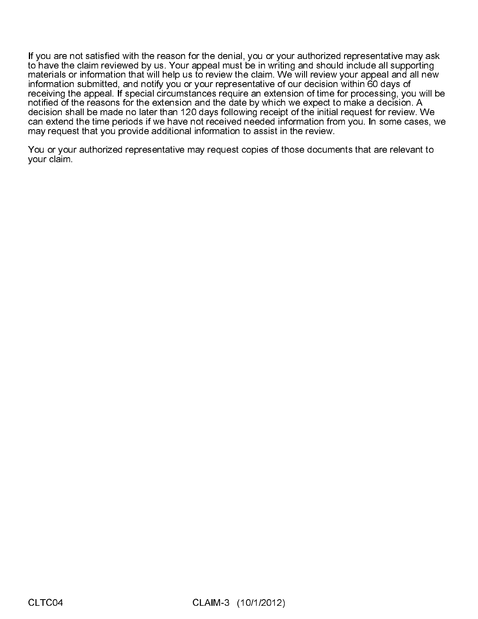If you are not satisfied with the reason for the denial, you or your authorized representative may ask to have the claim reviewed by us. Your appeal must be in writing and should include all supporting materials or information that will help us to review the claim. We will review your appeal and all new information submitted, and notify you or your representative of our decision within 60 days of receiving the appeal. If special circumstances require an extension of time for processing, you will be notified of the reasons for the extension and the date by which we expect to make a decision. A decision shall be made no later than 120 days following receipt of the initial request for review. We can extend the time periods if we have not received needed information from you. In some cases, we may request that you provide additional information to assist in the review.

You or your authorized representative may request copies of those documents that are relevant to your claim.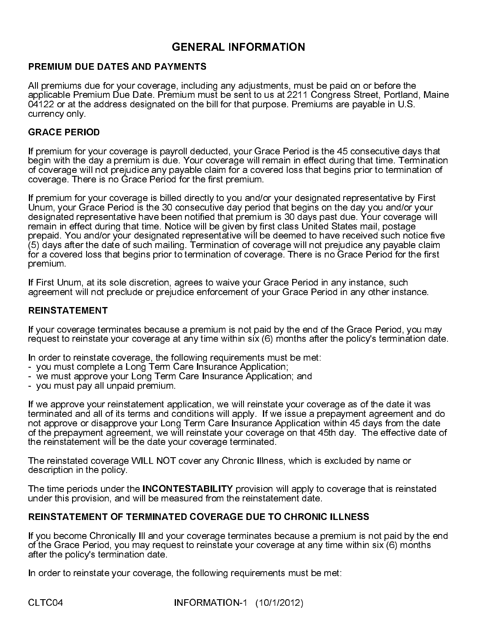### PREMIUM DUE DATES AND PAYMENTS

All premiums due for your coverage, including any adjustments, must be paid on or before the applicable Premium Due Date. Premium must be sent to us at 2211 Congress Street, Portland, Maine 04122 or at the address designated on the bill for that purpose. Premiums are payable in U.S. currency only.

### GRACE PERIOD

If premium for your coverage is payroll deducted, your Grace Period is the 45 consecutive days that begin with the day a premium is due. Your coverage will remain in effect during that time. Termination of coverage will not prejudice any payable claim for a covered loss that begins prior to termination of coverage. There is no Grace Period for the first premium.

**GENERAL INFORMATION**<br>
THENTIS<br>
THENTIS<br>
THENTIME TO A CONDITY THENTIME THENTIME THENTIME THENTIME THENTIME THENTIME THENTIME THENTIME CONDUCT THEND INCOLUTED THEND THEND THOUGHT ON THEND THEND THEND THEND THEN THENTIME CO If premium for your coverage is billed directly to you and/or your designated representative by First Unum, your Grace Period is the 30 consecutive day period that begins on the day you and/or your designated representative have been notified that premium is 30 days past due. Your coverage will remain in effect during that time. Notice will be given by first class United States mail, postage prepaid. You and/or your designated representative will be deemed to have received such notice five (5) days after the date of such mailing. Termination of coverage will not prejudice any payable claim for a covered loss that begins prior to termination of coverage. There is no Grace Period for the first premium.

If First Unum, at its sole discretion, agrees to waive your Grace Period in any instance, such agreement will not preclude or prejudice enforcement of your Grace Period in any other instance.

### REINSTATEMENT

If your coverage terminates because a premium is not paid by the end of the Grace Period, you may request to reinstate your coverage at any time within six (6) months after the policy's termination date.

In order to reinstate coverage, the following requirements must be met:

- you must complete a Long Term Care Insurance Application;
- we must approve your Long Term Care Insurance Application; and
- you must pay all unpaid premium.

If we approve your reinstatement application, we will reinstate your coverage as of the date it was terminated and all of its terms and conditions will apply. If we issue a prepayment agreement and do not approve or disapprove your Long Term Care Insurance Application within 45 days from the date of the prepayment agreement, we will reinstate your coverage on that 45th day. The effective date of the reinstatement will be the date your coverage terminated.

The reinstated coverage WILL NOT cover any Chronic Illness, which is excluded by name or description in the policy.

The time periods under the **INCONTESTABILITY** provision will apply to coverage that is reinstated under this provision, and will be measured from the reinstatement date.

### REINSTATEMENT OF TERMINATED COVERAGE DUE TO CHRONIC ILLNESS

If you become Chronically Ill and your coverage terminates because a premium is not paid by the end of the Grace Period, you may request to reinstate your coverage at any time within six (6) months after the policy's termination date.

In order to reinstate your coverage, the following requirements must be met: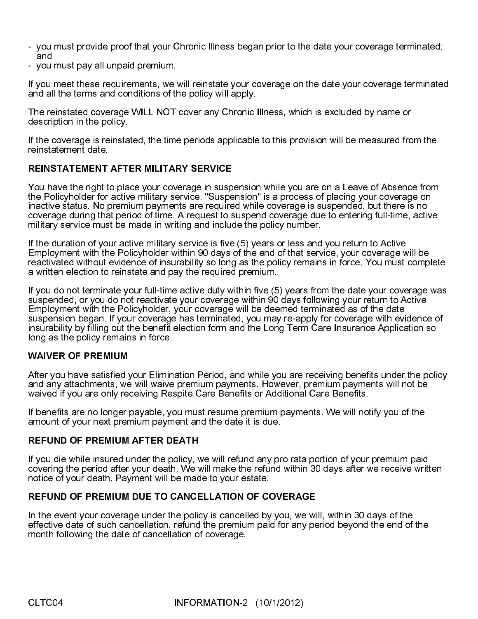- you must provide proof that your Chronic Illness began prior to the date your coverage terminated; and
- you must pay all unpaid premium.

If you meet these requirements, we will reinstate your coverage on the date your coverage terminated and all the terms and conditions of the policy will apply.

The reinstated coverage WILL NOT cover any Chronic Illness, which is excluded by name or description in the policy.

If the coverage is reinstated, the time periods applicable to this provision will be measured from the reinstatement date.

### REINSTATEMENT AFTER MILITARY SERVICE

You have the right to place your coverage in suspension while you are on a Leave of Absence from the Policyholder for active military service. "Suspension" is a process of placing your coverage on inactive status. No premium payments are required while coverage is suspended, but there is no coverage during that period of time. A request to suspend coverage due to entering full-time, active military service must be made in writing and include the policy number.

If the duration of your active military service is five (5) years or less and you return to Active Employment with the Policyholder within 90 days of the end of that service, your coverage will be reactivated without evidence of insurability so long as the policy remains in force. You must complete a written election to reinstate and pay the required premium.

If you do not terminate your full-time active duty within five (5) years from the date your coverage was suspended, or you do not reactivate your coverage within 90 days following your return to Active Employment with the Policyholder, your coverage will be deemed terminated as of the date suspension began. If your coverage has terminated, you may re-apply for coverage with evidence of insurability by filling out the benefit election form and the Long Term Care Insurance Application so long as the policy remains in force.

### WAIVER OF PREMIUM

After you have satisfied your Elimination Period, and while you are receiving benefits under the policy and any attachments, we will waive premium payments. However, premium payments will not be waived if you are only receiving Respite Care Benefits or Additional Care Benefits.

If benefits are no longer payable, you must resume premium payments. We will notify you of the amount of your next premium payment and the date it is due.

### REFUND OF PREMIUM AFTER DEATH

If you die while insured under the policy, we will refund any pro rata portion of your premium paid covering the period after your death. We will make the refund within 30 days after we receive written notice of your death. Payment will be made to your estate.

### REFUND OF PREMIUM DUE TO CANCELLATION OF COVERAGE

In the event your coverage under the policy is cancelled by you, we will, within 30 days of the effective date of such cancellation, refund the premium paid for any period beyond the end of the month following the date of cancellation of coverage.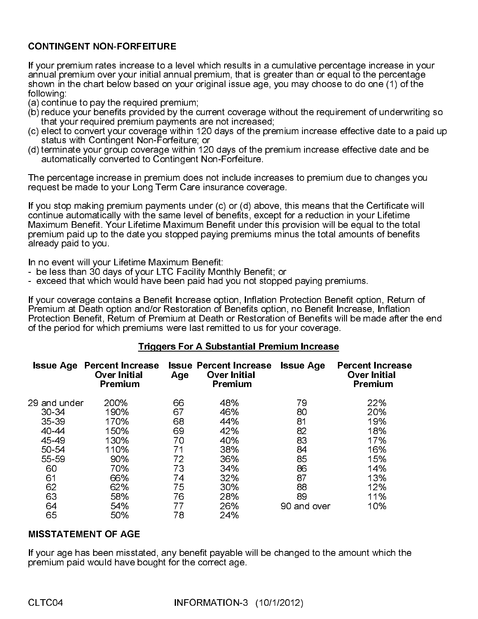# CONTINGENT NON-FORFEITURE

If your premium rates increase to a level which results in a cumulative percentage increase in your annual premium over your initial annual premium, that is greater than or equal to the percentage shown in the chart below based on your original issue age, you may choose to do one (1) of the following:

- (a) continue to pay the required premium;
- (b) reduce your benefits provided by the current coverage without the requirement of underwriting so that your required premium payments are not increased;
- (c) elect to convert your coverage within 120 days of the premium increase effective date to a paid up status with Contingent Non-Forfeiture; or
- (d) terminate your group coverage within 120 days of the premium increase effective date and be automatically converted to Contingent Non-Forfeiture.

The percentage increase in premium does not include increases to premium due to changes you request be made to your Long Term Care insurance coverage.

If you stop making premium payments under (c) or (d) above, this means that the Certificate will continue automatically with the same level of benefits, except for a reduction in your Lifetime Maximum Benefit. Your Lifetime Maximum Benefit under this provision will be equal to the total premium paid up to the date you stopped paying premiums minus the total amounts of benefits already paid to you.

In no event will your Lifetime Maximum Benefit:

- be less than 30 days of your LTC Facility Monthly Benefit; or
- exceed that which would have been paid had you not stopped paying premiums.

If your coverage contains a Benefit Increase option, Inflation Protection Benefit option, Return of Premium at Death option and/or Restoration of Benefits option, no Benefit Increase, Inflation Protection Benefit, Return of Premium at Death or Restoration of Benefits will be made after the end of the period for which premiums were last remitted to us for your coverage.

### Triggers For A Substantial Premium Increase

|              | <b>Issue Age Percent Increase</b><br><b>Over Initial</b><br><b>Premium</b> | Age | <b>Issue Percent Increase</b><br><b>Over Initial</b><br><b>Premium</b> | <b>Issue Age</b> | <b>Percent Increase</b><br><b>Over Initial</b><br>Premium |
|--------------|----------------------------------------------------------------------------|-----|------------------------------------------------------------------------|------------------|-----------------------------------------------------------|
| 29 and under | 200%                                                                       | 66  | 48%                                                                    | 79               | 22%                                                       |
| 30-34        | 190%                                                                       | 67  | 46%                                                                    | 80               | 20%                                                       |
| $35 - 39$    | 170%                                                                       | 68  | 44%                                                                    | 81               | 19%                                                       |
| 40-44        | 150%                                                                       | 69  | 42%                                                                    | 82               | 18%                                                       |
| 45-49        | 130%                                                                       | 70  | 40%                                                                    | 83               | 17%                                                       |
| 50-54        | 110%                                                                       | 71  | 38%                                                                    | 84               | 16%                                                       |
| 55-59        | 90%                                                                        | 72  | 36%                                                                    | 85               | 15%                                                       |
| 60           | 70%                                                                        | 73  | 34%                                                                    | 86               | 14%                                                       |
| 61           | 66%                                                                        | 74  | 32%                                                                    | 87               | 13%                                                       |
| 62           | 62%                                                                        | 75  | 30%                                                                    | 88               | 12%                                                       |
| 63           | 58%                                                                        | 76  | 28%                                                                    | 89               | 11%                                                       |
| 64           | 54%                                                                        | 77  | 26%                                                                    | 90 and over      | 10%                                                       |
| 65           | 50%                                                                        | 78  | 24%                                                                    |                  |                                                           |

# MISSTATEMENT OF AGE

If your age has been misstated, any benefit payable will be changed to the amount which the premium paid would have bought for the correct age.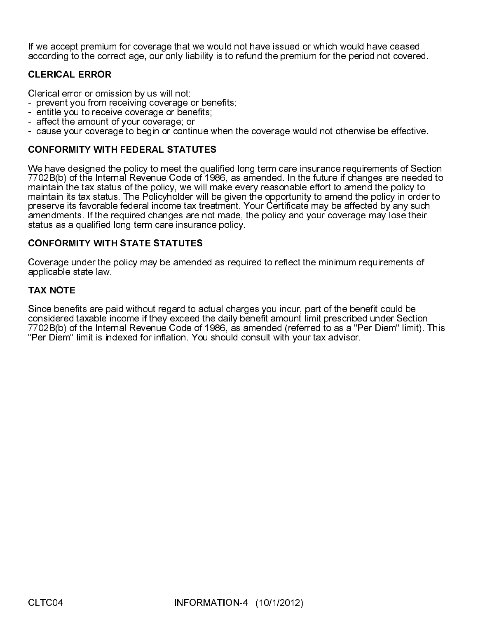If we accept premium for coverage that we would not have issued or which would have ceased according to the correct age, our only liability is to refund the premium for the period not covered.

### CLERICAL ERROR

Clerical error or omission by us will not:

- prevent you from receiving coverage or benefits;
- entitle you to receive coverage or benefits;
- affect the amount of your coverage; or
- cause your coverage to begin or continue when the coverage would not otherwise be effective.

# CONFORMITY WITH FEDERAL STATUTES

We have designed the policy to meet the qualified long term care insurance requirements of Section 7702B(b) of the Internal Revenue Code of 1986, as amended. In the future if changes are needed to maintain the tax status of the policy, we will make every reasonable effort to amend the policy to maintain its tax status. The Policyholder will be given the opportunity to amend the policy in order to preserve its favorable federal income tax treatment. Your Certificate may be affected by any such amendments. If the required changes are not made, the policy and your coverage may lose their status as a qualified long term care insurance policy.

### CONFORMITY WITH STATE STATUTES

Coverage under the policy may be amended as required to reflect the minimum requirements of applicable state law.

# TAX NOTE

Since benefits are paid without regard to actual charges you incur, part of the benefit could be considered taxable income if they exceed the daily benefit amount limit prescribed under Section 7702B(b) of the Internal Revenue Code of 1986, as amended (referred to as a "Per Diem" limit). This "Per Diem" limit is indexed for inflation. You should consult with your tax advisor.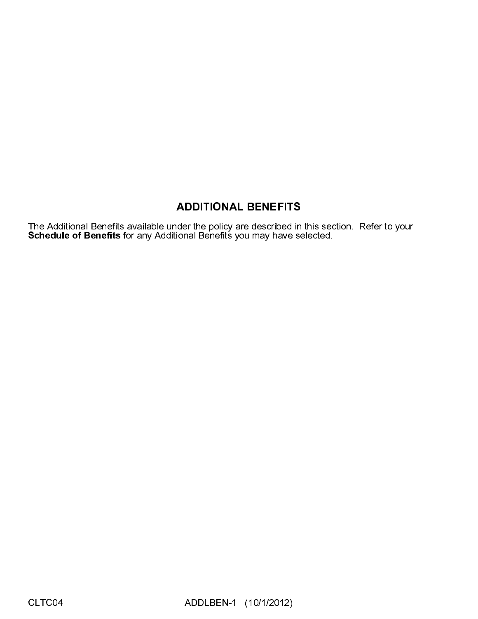# **ADDITIONAL BENEFITS**

**ADDITIONAL BENEFITS**<br>der the policy are described in<br>ional Benefits you may have se<br>ADDLBEN-1 (10/1/2012) The Additional Benefits available under the policy are described in this section. Refer to your Schedule of Benefits for any Additional Benefits you may have selected.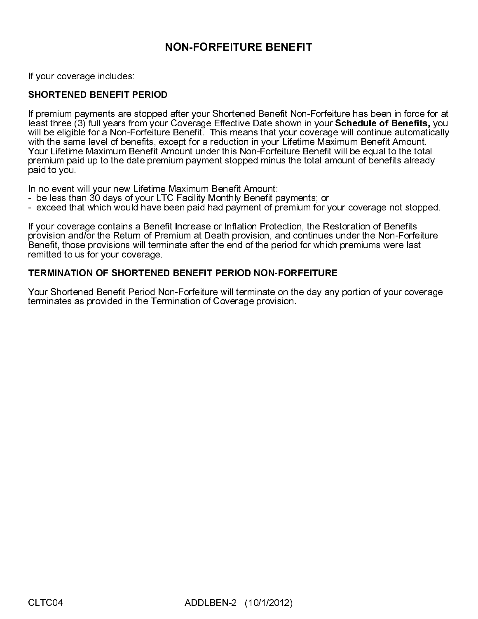# **NON-FORFEITURE BENEFIT**

If your coverage includes:

### SHORTENED BENEFIT PERIOD

**Coverage Effective Data Shown in Coverage Seles shown in Coverage Seles Shown in Sometion** e Benefit. This means that your cover for a reduction in your Lifetime Benefit and moment stopped minus the tot Maximum Benefit Am If premium payments are stopped after your Shortened Benefit Non-Forfeiture has been in force for at least three (3) full years from your Coverage Effective Date shown in your Schedule of Benefits, you will be eligible for a Non-Forfeiture Benefit. This means that your coverage will continue automatically with the same level of benefits, except for a reduction in your Lifetime Maximum Benefit Amount. Your Lifetime Maximum Benefit Amount under this Non-Forfeiture Benefit will be equal to the total premium paid up to the date premium payment stopped minus the total amount of benefits already paid to you.

In no event will your new Lifetime Maximum Benefit Amount:

- be less than 30 days of your LTC Facility Monthly Benefit payments; or
- exceed that which would have been paid had payment of premium for your coverage not stopped.

If your coverage contains a Benefit Increase or Inflation Protection, the Restoration of Benefits provision and/or the Return of Premium at Death provision, and continues under the Non-Forfeiture Benefit, those provisions will terminate after the end of the period for which premiums were last remitted to us for your coverage.

### TERMINATION OF SHORTENED BENEFIT PERIOD NON-FORFEITURE

Your Shortened Benefit Period Non-Forfeiture will terminate on the day any portion of your coverage terminates as provided in the Termination of Coverage provision.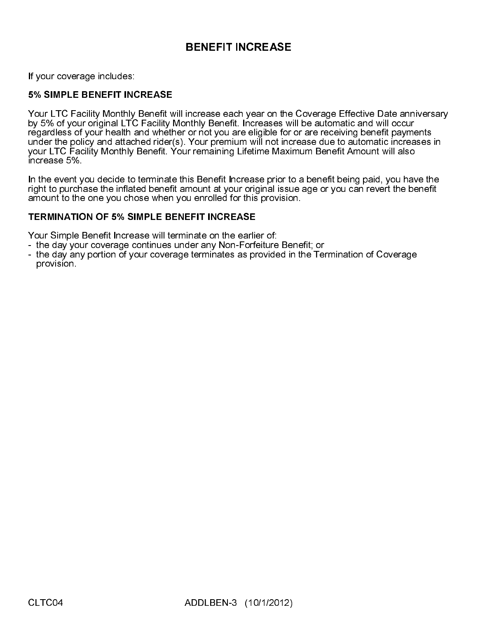If your coverage includes:

### 5% SIMPLE BENEFIT INCREASE

**BENEFIT INCREASE**<br>
increase each year on the<br>
or not you are eligible for<br>
in Your premium will not inci<br>
in remaining Lifetime Maxir<br>
ins Benefit Increase prior to<br>
ins Benefit Increase prior to<br>
u enrolled for this prov Your LTC Facility Monthly Benefit will increase each year on the Coverage Effective Date anniversary by 5% of your original LTC Facility Monthly Benefit. Increases will be automatic and will occur regardless of your health and whether or not you are eligible for or are receiving benefit payments under the policy and attached rider(s). Your premium will not increase due to automatic increases in your LTC Facility Monthly Benefit. Your remaining Lifetime Maximum Benefit Amount will also increase 5%.

In the event you decide to terminate this Benefit Increase prior to a benefit being paid, you have the right to purchase the inflated benefit amount at your original issue age or you can revert the benefit amount to the one you chose when you enrolled for this provision.

### TERMINATION OF 5% SIMPLE BENEFIT INCREASE

Your Simple Benefit Increase will terminate on the earlier of:

- the day your coverage continues under any Non-Forfeiture Benefit; or
- the day any portion of your coverage terminates as provided in the Termination of Coverage provision.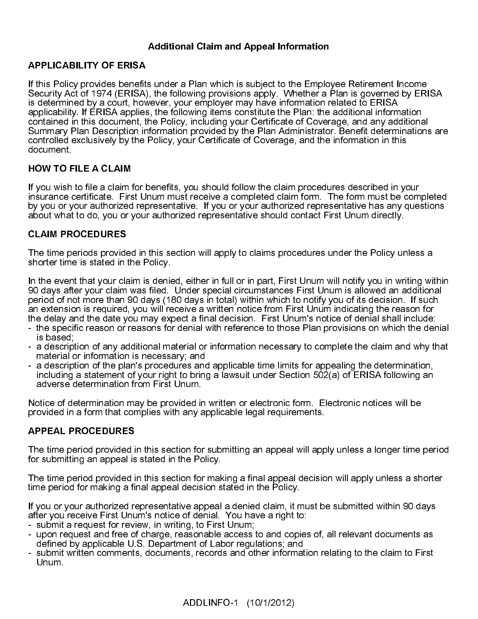# Additional Claim and Appeal Information

### APPLICABILITY OF ERISA

If this Policy provides benefits under a Plan which is subject to the Employee Retirement Income Security Act of 1974 (ERISA), the following provisions apply. Whether a Plan is governed by ERISA is determined by a court, however, your employer may have information related to ERISA applicability. If ERISA applies, the following items constitute the Plan: the additional information contained in this document, the Policy, including your Certificate of Coverage, and any additional Summary Plan Description information provided by the Plan Administrator. Benefit determinations are controlled exclusively by the Policy, your Certificate of Coverage, and the information in this document.

### HOW TO FILE A CLAIM

If you wish to file a claim for benefits, you should follow the claim procedures described in your insurance certificate. First Unum must receive a completed claim form. The form must be completed by you or your authorized representative. If you or your authorized representative has any questions about what to do, you or your authorized representative should contact First Unum directly.

### CLAIM PROCEDURES

The time periods provided in this section will apply to claims procedures under the Policy unless a shorter time is stated in the Policy.

In the event that your claim is denied, either in full or in part, First Unum will notify you in writing within 90 days after your claim was filed. Under special circumstances First Unum is allowed an additional period of not more than 90 days (180 days in total) within which to notify you of its decision. If such an extension is required, you will receive a written notice from First Unum indicating the reason for the delay and the date you may expect a final decision. First Unum's notice of denial shall include:

- the specific reason or reasons for denial with reference to those Plan provisions on which the denial is based;
- a description of any additional material or information necessary to complete the claim and why that material or information is necessary; and
- a description of the plan's procedures and applicable time limits for appealing the determination, including a statement of your right to bring a lawsuit under Section 502(a) of ERISA following an adverse determination from First Unum.

Notice of determination may be provided in written or electronic form. Electronic notices will be provided in a form that complies with any applicable legal requirements.

# APPEAL PROCEDURES

The time period provided in this section for submitting an appeal will apply unless a longer time period for submitting an appeal is stated in the Policy.

The time period provided in this section for making a final appeal decision will apply unless a shorter time period for making a final appeal decision stated in the Policy.

If you or your authorized representative appeal a denied claim, it must be submitted within 90 days after you receive First Unum's notice of denial. You have a right to:

- submit a request for review, in writing, to First Unum;
- upon request and free of charge, reasonable access to and copies of, all relevant documents as defined by applicable U.S. Department of Labor regulations; and
- submit written comments, documents, records and other information relating to the claim to First Unum.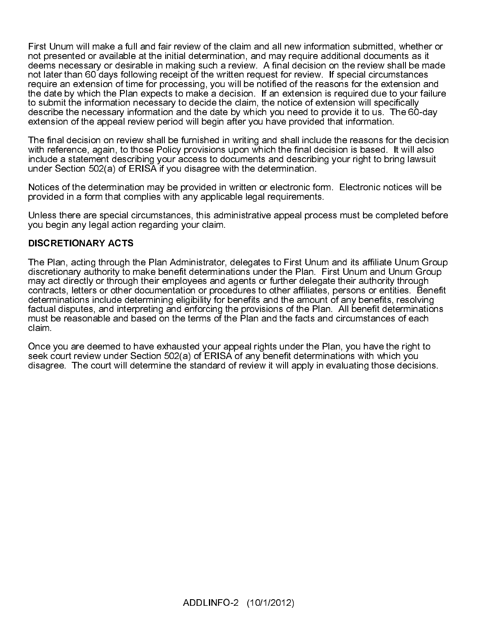First Unum will make a full and fair review of the claim and all new information submitted, whether or not presented or available at the initial determination, and may require additional documents as it deems necessary or desirable in making such a review. A final decision on the review shall be made not later than 60 days following receipt of the written request for review. If special circumstances require an extension of time for processing, you will be notified of the reasons for the extension and the date by which the Plan expects to make a decision. If an extension is required due to your failure to submit the information necessary to decide the claim, the notice of extension will specifically describe the necessary information and the date by which you need to provide it to us. The 60-day extension of the appeal review period will begin after you have provided that information.

The final decision on review shall be furnished in writing and shall include the reasons for the decision with reference, again, to those Policy provisions upon which the final decision is based. It will also include a statement describing your access to documents and describing your right to bring lawsuit under Section 502(a) of ERISA if you disagree with the determination.

Notices of the determination may be provided in written or electronic form. Electronic notices will be provided in a form that complies with any applicable legal requirements.

Unless there are special circumstances, this administrative appeal process must be completed before you begin any legal action regarding your claim.

# DISCRETIONARY ACTS

The Plan, acting through the Plan Administrator, delegates to First Unum and its affiliate Unum Group discretionary authority to make benefit determinations under the Plan. First Unum and Unum Group may act directly or through their employees and agents or further delegate their authority through contracts, letters or other documentation or procedures to other affiliates, persons or entities. Benefit determinations include determining eligibility for benefits and the amount of any benefits, resolving factual disputes, and interpreting and enforcing the provisions of the Plan. All benefit determinations must be reasonable and based on the terms of the Plan and the facts and circumstances of each claim.

Once you are deemed to have exhausted your appeal rights under the Plan, you have the right to seek court review under Section 502(a) of ERISA of any benefit determinations with which you disagree. The court will determine the standard of review it will apply in evaluating those decisions.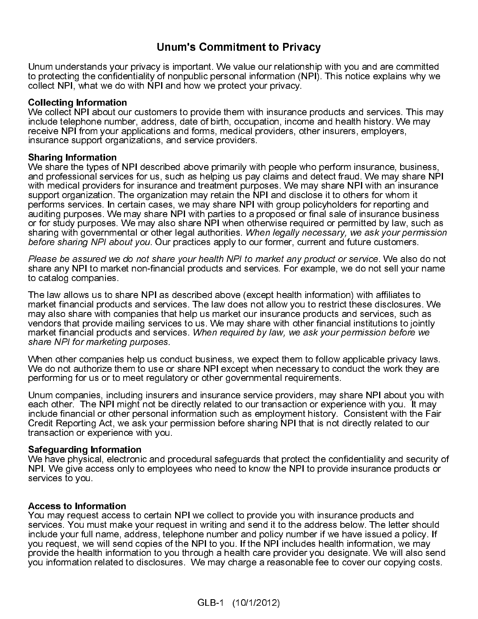# Unum's Commitment to Privacy

in principle incoming the control of modulo per sand limitments (RM). This notice explains why we<br>content information<br>on ethelige information in the computer our relationship with its important our relationship with the co collers NPI was well also well protect your protection records.<br>Collecting information<br>Collecting the condition and the confidential information confidentiality of the non-<br>microscopies and NPI about our sustainers is prov Collecting Information<br>We collect NPI about our customers to provide them with insurance<br>noture celle NPI about our customers, addets of birth, occupation incorecusive metallical<br>procedus NPI from your applications and for We collect NPI about our<br>include telephone numbe<br>receive NPI from your ap<br>receive NPI from your ap<br>receive NPI from your ap<br>**Sharing Information**<br>**Sharing Information**<br>and professional service<br>with medical providers for<br>su include to ephono number, address, date of bith, occupation income and health history. We may increase using the matter in provide the matter in the services of the matter in the provide them with a state them with a state inco will find more applications and forms, moledal providers. Contributions and the state of birth, occupations and the state of birth, occupations and the state of birth, occupations and the state of birth, occupations a insurance suppori originalizations, and service providers.<br>
instanting Internation and NPI dasc bed above primarily with people who perform insurance, by the medical providers for nuclear bed above primarily with year and **Sharing Information**<br>
Sharing Information<br>
We share the types of NPI described above primarily with<br>
and professional services for us such as helping us pay<br>
and professional services for insurance and treatment purp<br>
sup and not estimal serves to the star share in Pier Internal describes the type in the type in the types of NPI described above primarise print in the types of NPI described above primarise print insurance above propriate the white medial providers for insurance and treatminic principles when and helph with an insurance and the souch as we may share NPI with a mix and the souch of the souch of the souch of the souch of the souch of the souch of support organization. The regarding the response the risk piviliand disc osite it to other for whom it and translation may relat to the rest to the may share NPI with parts are the may share NPI with a may share NPI with a

share any NPI to market non-financial products and services. For example, we do not sell your name to catalog companies.

performs services. In rectrian cases, we may share a NPI with procupy policyholders for reporting any other to the organization of the organization of the substitute of the organization of the Share NPI with particle to ot sudding purposes. We may share NPI with grides to a proposed or fruid sale of instantione busines the proposed or frequency in the signify with growing that a proposed in the signify measure that in the legal authorities. or for study purposes. We may also share NPI when otherwise required or permitted by law, such a proposed or for study purposes of the SHO may share to the study of the may share of the may share of the may the layer of th before sharing NPI about you. Our practices apply to our former, current and future customers<br>Please be assumed we do not share your health NPI to marked any product or service We also consider<br>altate any NPI to marked non The law allows us to share NPI as described above (except health information) with affiliates to market financial products and services. The law does not allow you to restrict these disclosures. We may also share with companies that help us market our insurance products and services, such as vendors that provide mailing services to us. We may share with other financial institutions to jointly market financial products and services. When required by law, we ask your permission before we

When other companies help us conduct business, we expect them to follow applicable privacy laws. We do not authorize them to use or share NPI except when necessary to conduct the work they are performing for us or to meet regulatory or other governmental requirements. ֖֖֖֚֚֚֚֚֬֕

Unum companies, including insurers and insurance service providers, may share NPI about you with each other. The NPI might not be directly related to our transaction or experience with you. It may include financial or other personal information such as employment history. Consistent with the Fair Credit Reporting Act, we ask your permission before sharing NPI that is not directly related to our transaction or experience with you.

### Safeguarding Information

We have physical, electronic and procedural safeguards that protect the confidentiality and security of NPI. We give access only to employees who need to know the NPI to provide insurance products or services to you.

### Access to Information

sharing with governmental or chier egal sulthofites. When legally hocessary, we ask your permission<br>before sharing NPI shout you. Our practices sply to our former current and future outtomers.<br>Please be assured two do not before sharing NPI about you. Our practices apply to our former, current and future customers.<br>Please be assumed we do not share your health NPI to market any product or service. We also do not share any NPI to market non-Please be assured we do not share your health NPI to market any product or service. We also do not be<br>share any NPI to market non-financial products and services. For example, we do not sell go con orto catalog companies.<br> market financial products and services when required by law, we ask your permission before we<br>share MPI for marketing purposes.<br>When other companies help us conduct business, we expect them to follow applicable privacy law When other companies help us compared when the companies help us comperforming for us or to meet regular Unum companies, including insure each other. The NPI might not be include financial or other personal include financi You may request access to certain NPI we collect to provide you with insurance products and services. You must make your request in writing and send it to the address below. The letter should include your full name, address, telephone number and policy number if we have issued a policy. If you request, we will send copies of the NPI to you. If the NPI includes health information, we may provide the health information to you through a health care provider you designate. We will also send you information related to disclosures. We may charge a reasonable fee to cover our copying costs.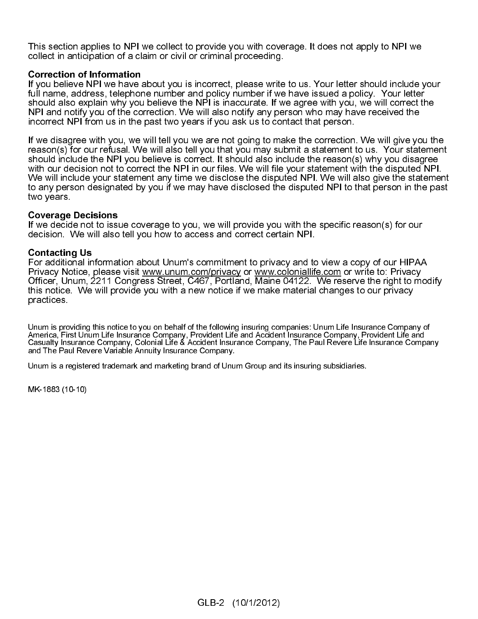This section applies to NPI we collect to provide you with coverage. It does not apply to NPI we collect in anticipation of a claim or civil or criminal proceeding.

**Correction of Information**<br>If you believe NPI we have about you is incorrect, please write to us. Your letter should include your full name, address, telephone number and policy number if we have issued a policy. Your letter should also explain why you believe the NPI is inaccurate. If we agree with you, we will correct the NPI and notify you of the correction. We will also notify any person who may have received the incorrect NPI from us in the past two years if you ask us to contact that person.

If we disagree with you, we will tell you we are not going to make the correction. We will give you the reason(s) for our refusal. We will also tell you that you may submit a statement to us. Your statement should include the NPI you believe is correct. It should also include the reason(s) why you disagree with our decision not to correct the NPI in our files. We will file your statement with the disputed NPI. We will include your statement any time we disclose the disputed NPI. We will also give the statement to any person designated by you if we may have disclosed the disputed NPI to that person in the past two years.

**Coverage Decisions**<br>If we decide not to issue coverage to you, we will provide you with the specific reason(s) for our decision. We will also tell you how to access and correct certain NPI.

**Contacting Us**<br>For additional information about Unum's commitment to privacy and to view a copy of our HIPAA Privacy Notice, please visit www.unum.com/privacy or www.coloniallife.com or write to: Privacy Officer, Unum, 2211 Congress Street, C467, Portland, Maine 04122. We reserve the right to modify this notice. We will provide you with a new notice if we make material changes to our privacy practices.

Unum is providing this notice to you on behalf of the following insuring companies: Unum Life Insurance Company of America, First Unum Life Insurance Company, Provident Life and Accident Insurance Company, Provident Life and Casualty Insurance Company, Colonial Life & Accident Insurance Company, The Paul Revere Life Insurance Company and The Paul Revere Variable Annuity Insurance Company.

Unum is a registered trademark and marketing brand of Unum Group and its insuring subsidiaries.

MK-1883 (10-10)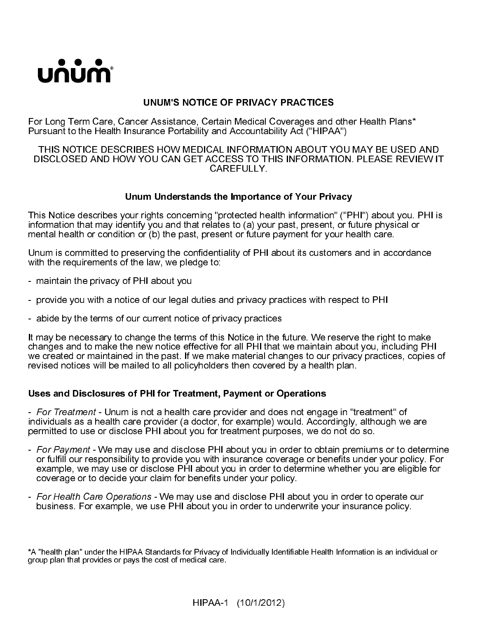

# UNUM'S NOTICE OF PRIVACY PRACTICES

For Long Term Care, Cancer Assistance, Certain Medical Coverages and other Health Plans\* Pursuant to the Health Insurance Portability and Accountability Act ("HIPAA")

### THIS NOTICE DESCRIBES HOW MEDICAL INFORMATION ABOUT YOU MAY BE USED AND DISCLOSED AND HOW YOU CAN GET ACCESS TO THIS INFORMATION. PLEASE REVIEW IT CAREFULLY.

# Unum Understands the Importance of Your Privacy

This Notice describes your rights concerning "protected health information" ("PHI") about you. PHI is information that may identify you and that relates to (a) your past, present, or future physical or mental health or condition or (b) the past, present or future payment for your health care.

Unum is committed to preserving the confidentiality of PHI about its customers and in accordance with the requirements of the law, we pledge to:

- maintain the privacy of PHI about you
- provide you with a notice of our legal duties and privacy practices with respect to PHI
- abide by the terms of our current notice of privacy practices

It may be necessary to change the terms of this Notice in the future. We reserve the right to make changes and to make the new notice effective for all PHI that we maintain about you, including PHI we created or maintained in the past. If we make material changes to our privacy practices, copies of revised notices will be mailed to all policyholders then covered by a health plan.

### Uses and Disclosures of PHI for Treatment, Payment or Operations

individuals as a health care provider (a doctor, for example) would. Accordingly, although we are permitted to use or disclose PHI about you for treatment purposes, we do not do so.

- For Treatment Unum is not a health care provider and does not engage in "treatment" of individuals as a health care provider (a doctor, for example) would. Accordingly, although we permitted to use or disclose PHI abou - For Payment - We may use and disclose PHI about you in order to obtain premiums or to determine<br>or fulfill our responsibility to provide you with insurance coverage or benefits under your policy. For<br>coverage or to decid or fulfill our responsibility to provide you with insurance coverage or benefits under your policy. For example, we may use or disclose PHI about you in order to determine whether you are eligible for coverage or to decide your claim for benefits under your policy.
- For Health Care Operations We may use and disclose PHI about you in order to operate our<br>business. For example, we use PHI about you in order to underwrite your insurance policy.<br>\*A "health plan" under the HIPAA Standa business. For example, we use PHI about you in order to underwrite your insurance policy.

<sup>\*</sup>A "health plan" under the HIPAA Standards for Privacy of Individually Identifiable Health Information is an individual or group plan that provides or pays the cost of medical care.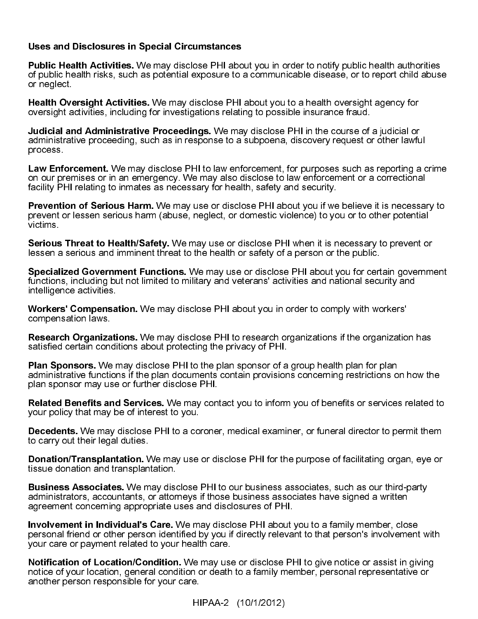### Uses and Disclosures in Special Circumstances

Public Health Activities. We may disclose PHI about you in order to notify public health authorities of public health risks, such as potential exposure to a communicable disease, or to report child abuse or neglect.

Health Oversight Activities. We may disclose PHI about you to a health oversight agency for oversight activities, including for investigations relating to possible insurance fraud.

Judicial and Administrative Proceedings. We may disclose PHI in the course of a judicial or administrative proceeding, such as in response to a subpoena, discovery request or other lawful process.

Law Enforcement. We may disclose PHI to law enforcement, for purposes such as reporting a crime on our premises or in an emergency. We may also disclose to law enforcement or a correctional facility PHI relating to inmates as necessary for health, safety and security.

Prevention of Serious Harm. We may use or disclose PHI about you if we believe it is necessary to prevent or lessen serious harm (abuse, neglect, or domestic violence) to you or to other potential victims.

**Serious Threat to Health/Safety.** We may use or disclose PHI when it is necessary to prevent or lessen a serious and imminent threat to the health or safety of a person or the public.

Specialized Government Functions. We may use or disclose PHI about you for certain government functions, including but not limited to military and veterans' activities and national security and intelligence activities.

Workers' Compensation. We may disclose PHI about you in order to comply with workers' compensation laws.

Research Organizations. We may disclose PHI to research organizations if the organization has satisfied certain conditions about protecting the privacy of PHI.

Plan Sponsors. We may disclose PHI to the plan sponsor of a group health plan for plan administrative functions if the plan documents contain provisions concerning restrictions on how the plan sponsor may use or further disclose PHI.

Related Benefits and Services. We may contact you to inform you of benefits or services related to your policy that may be of interest to you.

Decedents. We may disclose PHI to a coroner, medical examiner, or funeral director to permit them to carry out their legal duties.

Donation/Transplantation. We may use or disclose PHI for the purpose of facilitating organ, eye or tissue donation and transplantation.

Business Associates. We may disclose PHI to our business associates, such as our third-party administrators, accountants, or attorneys if those business associates have signed a written agreement concerning appropriate uses and disclosures of PHI.

Involvement in Individual's Care. We may disclose PHI about you to a family member, close personal friend or other person identified by you if directly relevant to that person's involvement with your care or payment related to your health care.

Notification of Location/Condition. We may use or disclose PHI to give notice or assist in giving notice of your location, general condition or death to a family member, personal representative or another person responsible for your care.

HIPAA-2 (10/1/2012)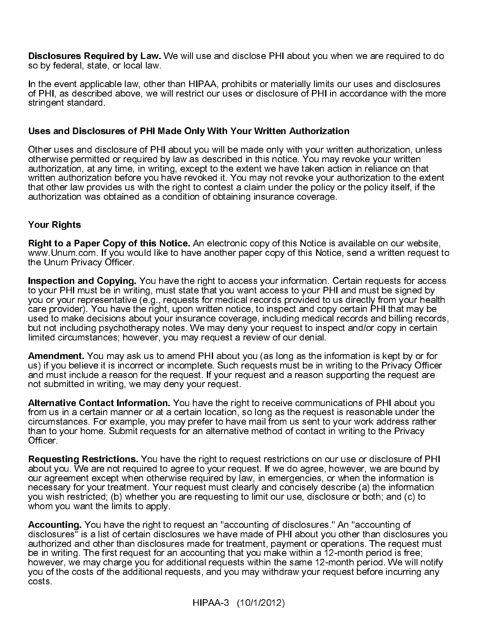Disclosures Required by Law. We will use and disclose PHI about you when we are required to do so by federal, state, or local law.

In the event applicable law, other than HIPAA, prohibits or materially limits our uses and disclosures of PHI, as described above, we will restrict our uses or disclosure of PHI in accordance with the more stringent standard.

### Uses and Disclosures of PHI Made Only With Your Written Authorization

Other uses and disclosure of PHI about you will be made only with your written authorization, unless otherwise permitted or required by law as described in this notice. You may revoke your written authorization, at any time, in writing, except to the extent we have taken action in reliance on that written authorization before you have revoked it. You may not revoke your authorization to the extent that other law provides us with the right to contest a claim under the policy or the policy itself, if the authorization was obtained as a condition of obtaining insurance coverage.

### Your Rights

Right to a Paper Copy of this Notice. An electronic copy of this Notice is available on our website, www.Unum.com. If you would like to have another paper copy of this Notice, send a written request to the Unum Privacy Officer.

Inspection and Copying. You have the right to access your information. Certain requests for access to your PHI must be in writing, must state that you want access to your PHI and must be signed by you or your representative (e.g., requests for medical records provided to us directly from your health care provider). You have the right, upon written notice, to inspect and copy certain PHI that may be used to make decisions about your insurance coverage, including medical records and billing records, but not including psychotherapy notes. We may deny your request to inspect and/or copy in certain limited circumstances; however, you may request a review of our denial.

Amendment. You may ask us to amend PHI about you (as long as the information is kept by or for us) if you believe it is incorrect or incomplete. Such requests must be in writing to the Privacy Officer and must include a reason for the request. If your request and a reason supporting the request are not submitted in writing, we may deny your request.

Alternative Contact Information. You have the right to receive communications of PHI about you from us in a certain manner or at a certain location, so long as the request is reasonable under the circumstances. For example, you may prefer to have mail from us sent to your work address rather than to your home. Submit requests for an alternative method of contact in writing to the Privacy Officer.

Requesting Restrictions. You have the right to request restrictions on our use or disclosure of PHI about you. We are not required to agree to your request. If we do agree, however, we are bound by our agreement except when otherwise required by law, in emergencies, or when the information is necessary for your treatment. Your request must clearly and concisely describe (a) the information you wish restricted; (b) whether you are requesting to limit our use, disclosure or both; and (c) to whom you want the limits to apply.

Accounting. You have the right to request an "accounting of disclosures." An "accounting of disclosures" is a list of certain disclosures we have made of PHI about you other than disclosures you authorized and other than disclosures made for treatment, payment or operations. The request must be in writing. The first request for an accounting that you make within a 12-month period is free; however, we may charge you for additional requests within the same 12-month period. We will notify you of the costs of the additional requests, and you may withdraw your request before incurring any costs.

HIPAA-3 (10/1/2012)